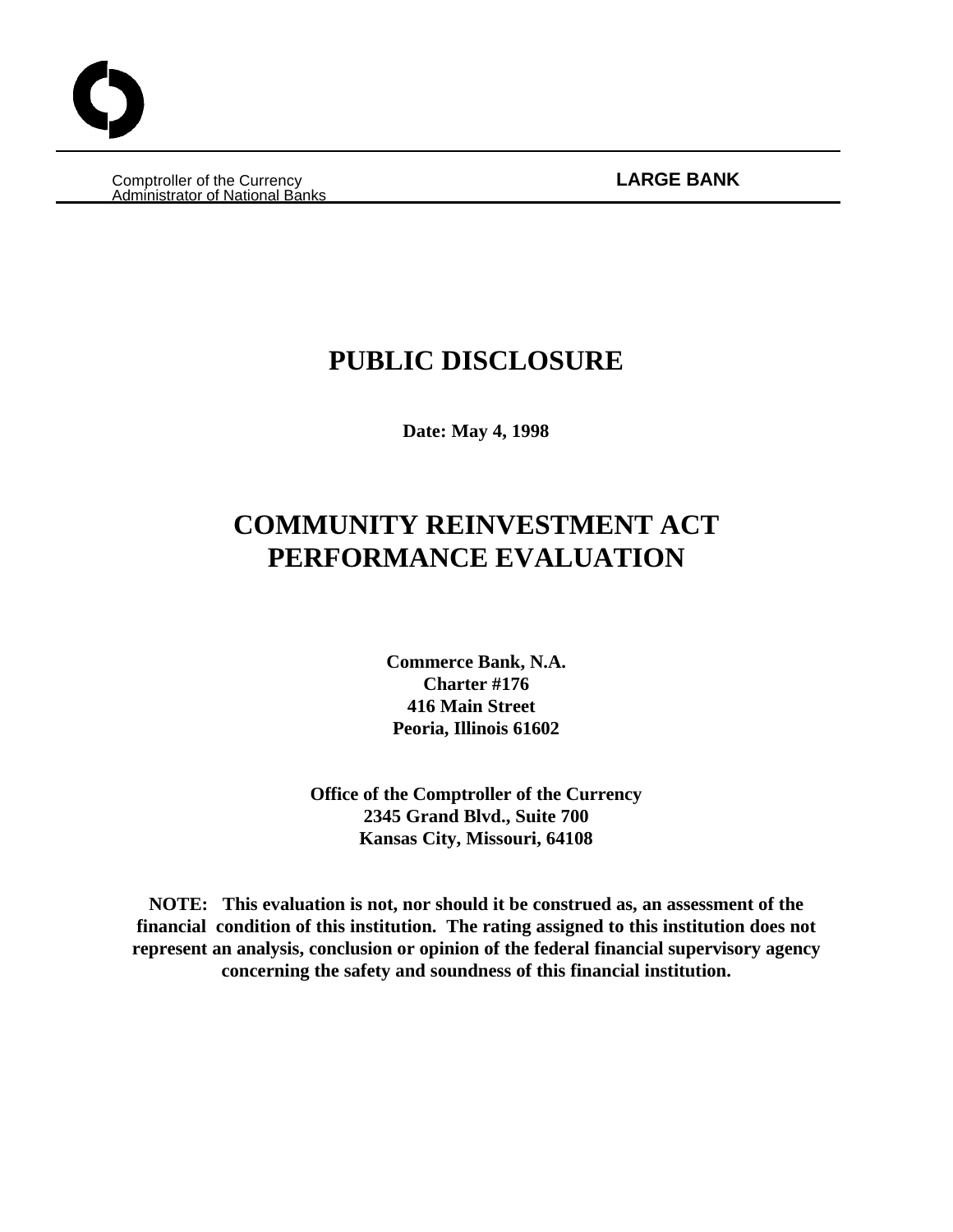Comptroller of the Currency **LARGE BANK** Administrator of National Banks

# **PUBLIC DISCLOSURE**

**Date: May 4, 1998**

# **COMMUNITY REINVESTMENT ACT PERFORMANCE EVALUATION**

**Commerce Bank, N.A. Charter #176 416 Main Street Peoria, Illinois 61602**

**Office of the Comptroller of the Currency 2345 Grand Blvd., Suite 700 Kansas City, Missouri, 64108**

**NOTE: This evaluation is not, nor should it be construed as, an assessment of the financial condition of this institution. The rating assigned to this institution does not represent an analysis, conclusion or opinion of the federal financial supervisory agency concerning the safety and soundness of this financial institution.**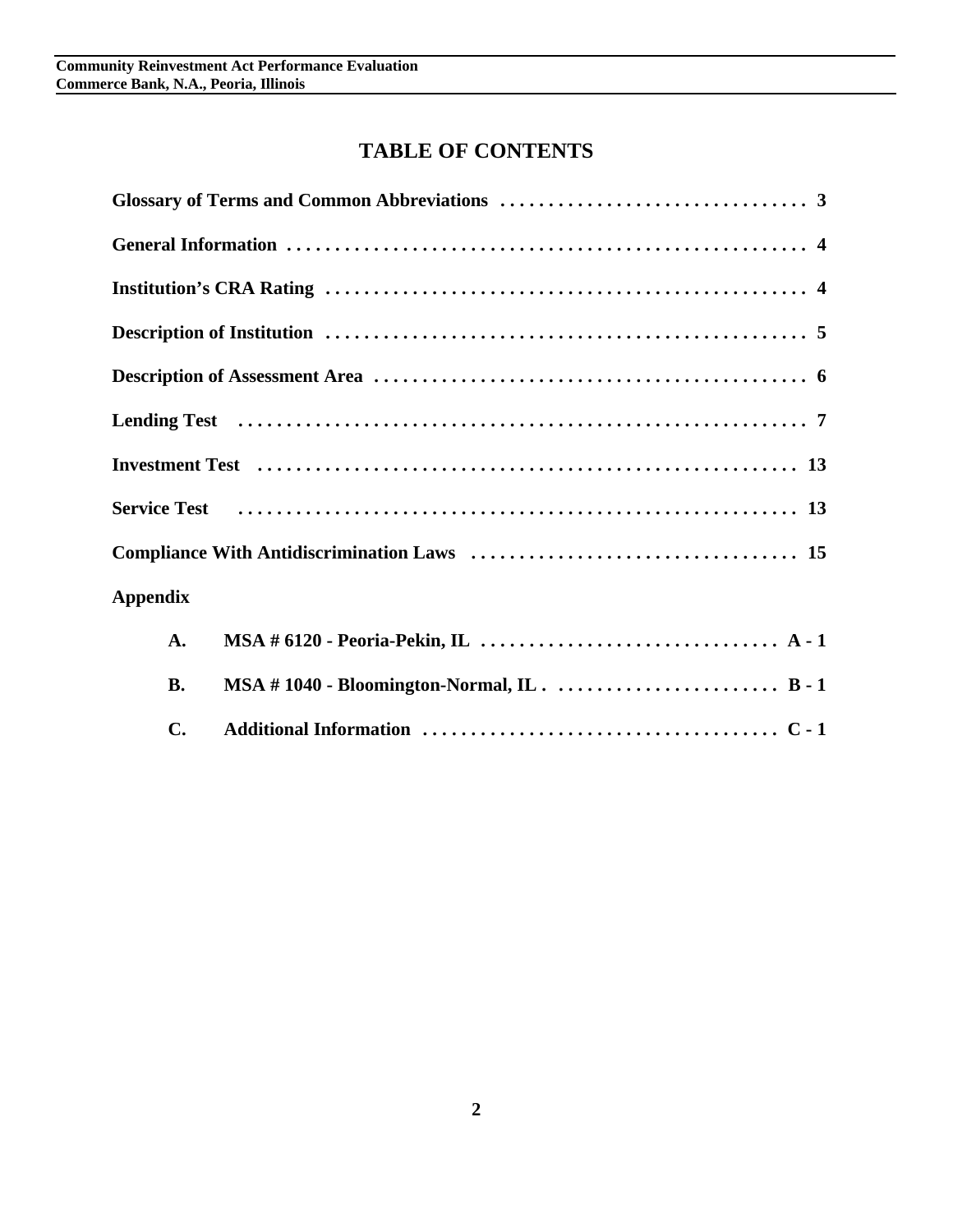# **TABLE OF CONTENTS**

|                 | Service Test (al., 1991) Service Test (al., 1991) Service Test (al., 1991) Service Test (al., 1991) |
|-----------------|-----------------------------------------------------------------------------------------------------|
|                 |                                                                                                     |
| <b>Appendix</b> |                                                                                                     |
| $\mathbf{A}$ .  |                                                                                                     |
| <b>B.</b>       |                                                                                                     |
| $C_{\bullet}$   |                                                                                                     |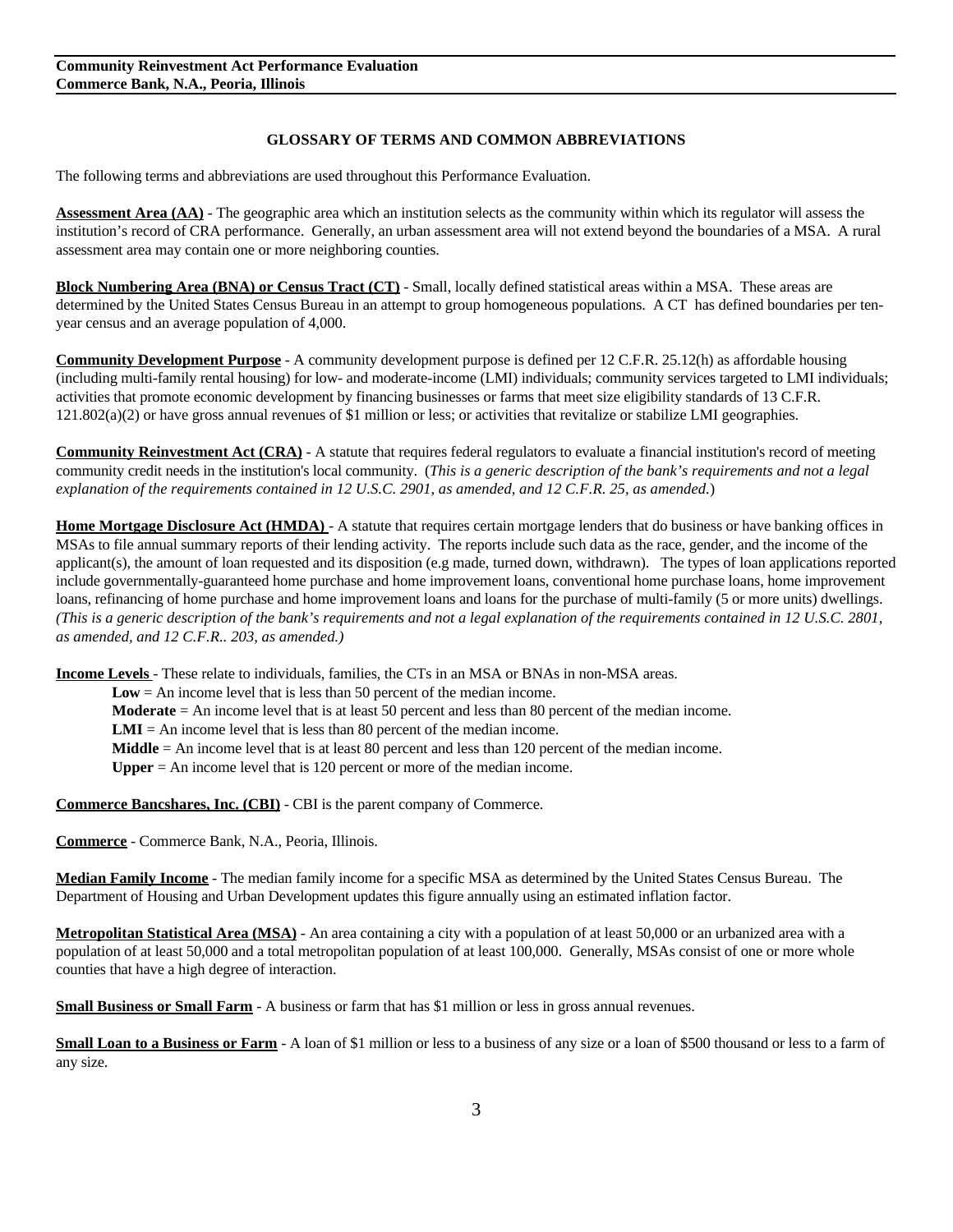#### **GLOSSARY OF TERMS AND COMMON ABBREVIATIONS**

The following terms and abbreviations are used throughout this Performance Evaluation.

**Assessment Area (AA)** - The geographic area which an institution selects as the community within which its regulator will assess the institution's record of CRA performance. Generally, an urban assessment area will not extend beyond the boundaries of a MSA. A rural assessment area may contain one or more neighboring counties.

**Block Numbering Area (BNA) or Census Tract (CT)** - Small, locally defined statistical areas within a MSA. These areas are determined by the United States Census Bureau in an attempt to group homogeneous populations. A CT has defined boundaries per tenyear census and an average population of 4,000.

**Community Development Purpose** - A community development purpose is defined per 12 C.F.R. 25.12(h) as affordable housing (including multi-family rental housing) for low- and moderate-income (LMI) individuals; community services targeted to LMI individuals; activities that promote economic development by financing businesses or farms that meet size eligibility standards of 13 C.F.R.  $121.802(a)(2)$  or have gross annual revenues of \$1 million or less; or activities that revitalize or stabilize LMI geographies.

**Community Reinvestment Act (CRA)** - A statute that requires federal regulators to evaluate a financial institution's record of meeting community credit needs in the institution's local community. (*This is a generic description of the bank's requirements and not a legal explanation of the requirements contained in 12 U.S.C. 2901, as amended, and 12 C.F.R. 25, as amended.*)

**Home Mortgage Disclosure Act (HMDA)** - A statute that requires certain mortgage lenders that do business or have banking offices in MSAs to file annual summary reports of their lending activity. The reports include such data as the race, gender, and the income of the applicant(s), the amount of loan requested and its disposition (e.g made, turned down, withdrawn). The types of loan applications reported include governmentally-guaranteed home purchase and home improvement loans, conventional home purchase loans, home improvement loans, refinancing of home purchase and home improvement loans and loans for the purchase of multi-family (5 or more units) dwellings. *(This is a generic description of the bank's requirements and not a legal explanation of the requirements contained in 12 U.S.C. 2801, as amended, and 12 C.F.R.. 203, as amended.)*

**Income Levels** - These relate to individuals, families, the CTs in an MSA or BNAs in non-MSA areas.

**Low** = An income level that is less than 50 percent of the median income.

**Moderate** = An income level that is at least 50 percent and less than 80 percent of the median income.

**LMI** = An income level that is less than 80 percent of the median income.

**Middle** = An income level that is at least 80 percent and less than 120 percent of the median income.

**Upper** = An income level that is 120 percent or more of the median income.

**Commerce Bancshares, Inc. (CBI)** - CBI is the parent company of Commerce.

**Commerce** - Commerce Bank, N.A., Peoria, Illinois.

**Median Family Income** - The median family income for a specific MSA as determined by the United States Census Bureau. The Department of Housing and Urban Development updates this figure annually using an estimated inflation factor.

**Metropolitan Statistical Area (MSA)** - An area containing a city with a population of at least 50,000 or an urbanized area with a population of at least 50,000 and a total metropolitan population of at least 100,000. Generally, MSAs consist of one or more whole counties that have a high degree of interaction.

**Small Business or Small Farm** - A business or farm that has \$1 million or less in gross annual revenues.

**Small Loan to a Business or Farm** - A loan of \$1 million or less to a business of any size or a loan of \$500 thousand or less to a farm of any size.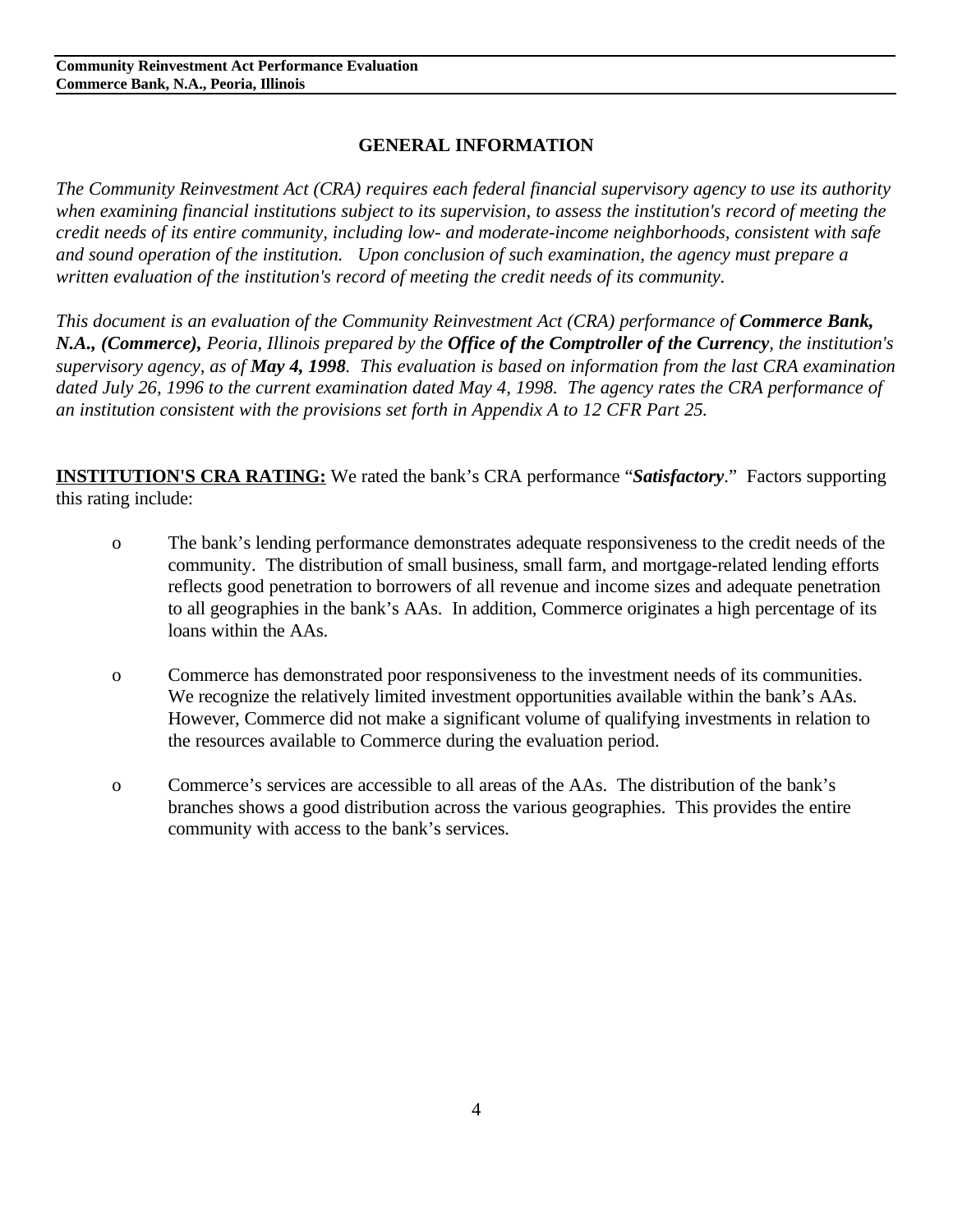## **GENERAL INFORMATION**

*The Community Reinvestment Act (CRA) requires each federal financial supervisory agency to use its authority when examining financial institutions subject to its supervision, to assess the institution's record of meeting the credit needs of its entire community, including low- and moderate-income neighborhoods, consistent with safe and sound operation of the institution. Upon conclusion of such examination, the agency must prepare a written evaluation of the institution's record of meeting the credit needs of its community.* 

*This document is an evaluation of the Community Reinvestment Act (CRA) performance of Commerce Bank, N.A., (Commerce), Peoria, Illinois prepared by the Office of the Comptroller of the Currency, the institution's supervisory agency, as of May 4, 1998. This evaluation is based on information from the last CRA examination dated July 26, 1996 to the current examination dated May 4, 1998. The agency rates the CRA performance of an institution consistent with the provisions set forth in Appendix A to 12 CFR Part 25.* 

**INSTITUTION'S CRA RATING:** We rated the bank's CRA performance "*Satisfactory*." Factors supporting this rating include:

- o The bank's lending performance demonstrates adequate responsiveness to the credit needs of the community. The distribution of small business, small farm, and mortgage-related lending efforts reflects good penetration to borrowers of all revenue and income sizes and adequate penetration to all geographies in the bank's AAs. In addition, Commerce originates a high percentage of its loans within the AAs.
- o Commerce has demonstrated poor responsiveness to the investment needs of its communities. We recognize the relatively limited investment opportunities available within the bank's AAs. However, Commerce did not make a significant volume of qualifying investments in relation to the resources available to Commerce during the evaluation period.
- o Commerce's services are accessible to all areas of the AAs. The distribution of the bank's branches shows a good distribution across the various geographies. This provides the entire community with access to the bank's services.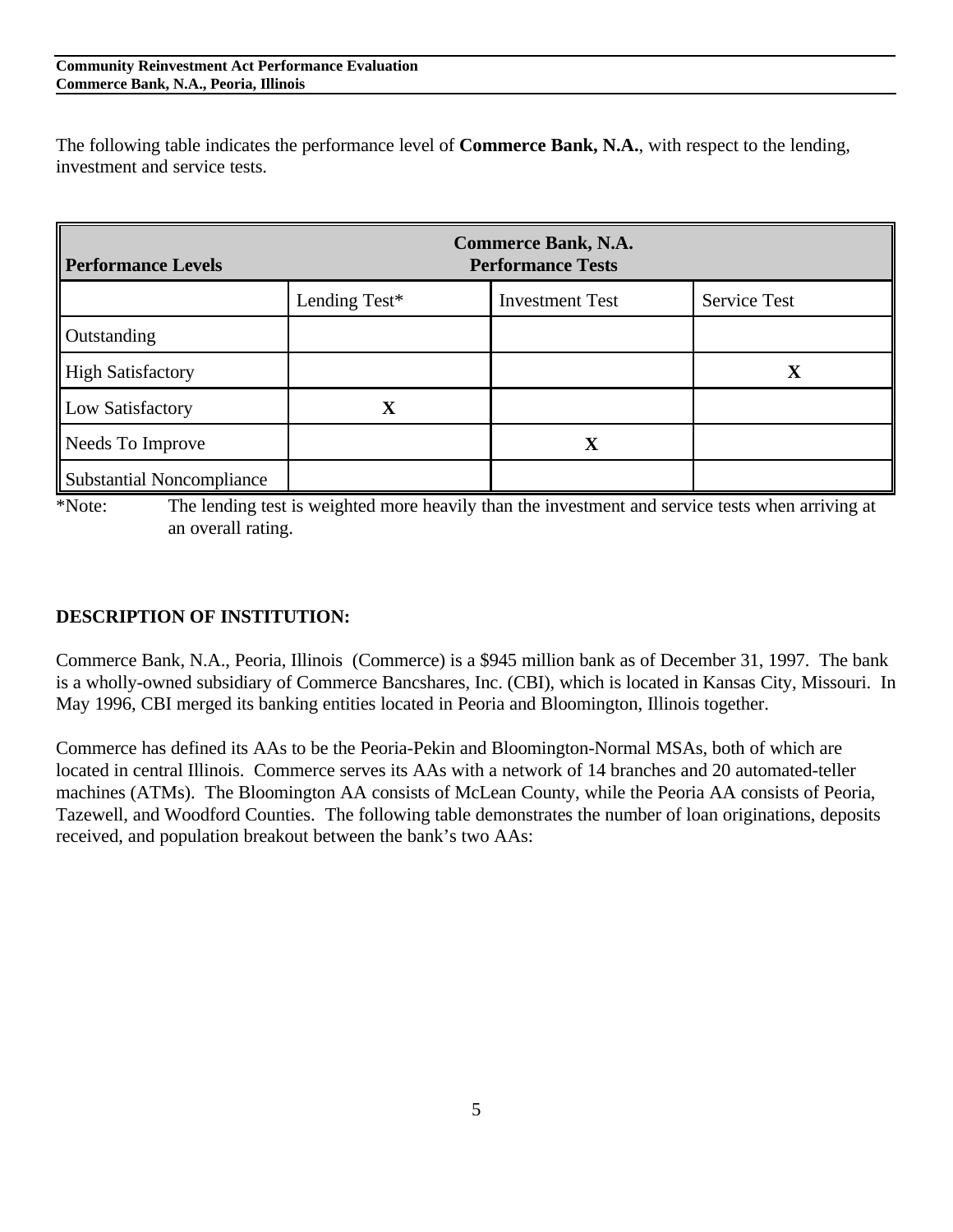The following table indicates the performance level of **Commerce Bank, N.A.**, with respect to the lending, investment and service tests.

| <b>Performance Levels</b>        |               | <b>Commerce Bank, N.A.</b><br><b>Performance Tests</b> |                     |
|----------------------------------|---------------|--------------------------------------------------------|---------------------|
|                                  | Lending Test* | <b>Investment Test</b>                                 | <b>Service Test</b> |
| Outstanding                      |               |                                                        |                     |
| <b>High Satisfactory</b>         |               |                                                        | $\mathbf X$         |
| Low Satisfactory                 | $\mathbf X$   |                                                        |                     |
| Needs To Improve                 |               |                                                        |                     |
| <b>Substantial Noncompliance</b> |               |                                                        |                     |

\*Note: The lending test is weighted more heavily than the investment and service tests when arriving at an overall rating.

## **DESCRIPTION OF INSTITUTION:**

Commerce Bank, N.A., Peoria, Illinois (Commerce) is a \$945 million bank as of December 31, 1997. The bank is a wholly-owned subsidiary of Commerce Bancshares, Inc. (CBI), which is located in Kansas City, Missouri. In May 1996, CBI merged its banking entities located in Peoria and Bloomington, Illinois together.

Commerce has defined its AAs to be the Peoria-Pekin and Bloomington-Normal MSAs, both of which are located in central Illinois. Commerce serves its AAs with a network of 14 branches and 20 automated-teller machines (ATMs). The Bloomington AA consists of McLean County, while the Peoria AA consists of Peoria, Tazewell, and Woodford Counties. The following table demonstrates the number of loan originations, deposits received, and population breakout between the bank's two AAs: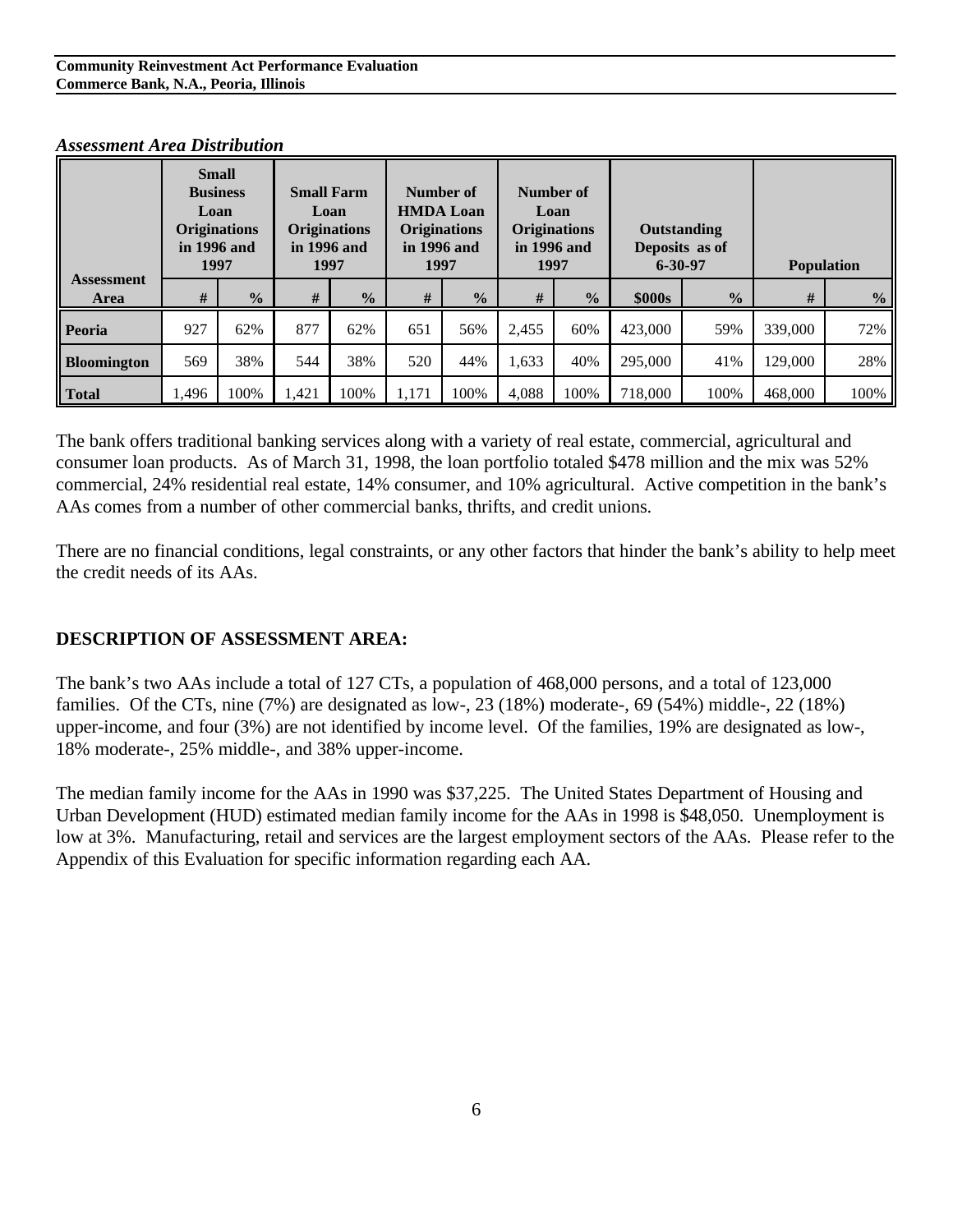|                           | <b>Small</b><br><b>Business</b><br>Loan<br><b>Originations</b><br>in 1996 and<br>1997 |               | <b>Small Farm</b><br>Loan<br><b>Originations</b><br>in 1996 and<br>1997 |               | Number of<br><b>HMDA Loan</b><br><b>Originations</b><br>in 1996 and<br>1997 |               | Number of<br>Loan<br><b>Originations</b><br>in 1996 and<br>1997 |               | Outstanding<br>Deposits as of<br>$6 - 30 - 97$ |               | <b>Population</b> |               |
|---------------------------|---------------------------------------------------------------------------------------|---------------|-------------------------------------------------------------------------|---------------|-----------------------------------------------------------------------------|---------------|-----------------------------------------------------------------|---------------|------------------------------------------------|---------------|-------------------|---------------|
| <b>Assessment</b><br>Area | #                                                                                     | $\frac{0}{2}$ | #                                                                       | $\frac{0}{2}$ | #                                                                           | $\frac{0}{2}$ | #                                                               | $\frac{0}{0}$ | \$000s                                         | $\frac{0}{2}$ | #                 | $\frac{0}{2}$ |
| <b>Peoria</b>             | 927                                                                                   | 62%           | 877                                                                     | 62%           | 651                                                                         | 56%           | 2,455                                                           | 60%           | 423,000                                        | 59%           | 339,000           | 72%           |
| <b>Bloomington</b>        | 569                                                                                   | 38%           | 544                                                                     | 38%           | 520                                                                         | 44%           | 1,633                                                           | 40%           | 295,000                                        | 41%           | 129,000           | 28%           |
| <b>Total</b>              | 1,496                                                                                 | 100%          | 1,421                                                                   | 100%          | 1,171                                                                       | 100%          | 4,088                                                           | 100%          | 718,000                                        | 100%          | 468,000           | 100%          |

#### *Assessment Area Distribution*

The bank offers traditional banking services along with a variety of real estate, commercial, agricultural and consumer loan products. As of March 31, 1998, the loan portfolio totaled \$478 million and the mix was 52% commercial, 24% residential real estate, 14% consumer, and 10% agricultural. Active competition in the bank's AAs comes from a number of other commercial banks, thrifts, and credit unions.

There are no financial conditions, legal constraints, or any other factors that hinder the bank's ability to help meet the credit needs of its AAs.

## **DESCRIPTION OF ASSESSMENT AREA:**

The bank's two AAs include a total of 127 CTs, a population of 468,000 persons, and a total of 123,000 families. Of the CTs, nine (7%) are designated as low-, 23 (18%) moderate-, 69 (54%) middle-, 22 (18%) upper-income, and four (3%) are not identified by income level. Of the families, 19% are designated as low-, 18% moderate-, 25% middle-, and 38% upper-income.

The median family income for the AAs in 1990 was \$37,225. The United States Department of Housing and Urban Development (HUD) estimated median family income for the AAs in 1998 is \$48,050. Unemployment is low at 3%. Manufacturing, retail and services are the largest employment sectors of the AAs. Please refer to the Appendix of this Evaluation for specific information regarding each AA.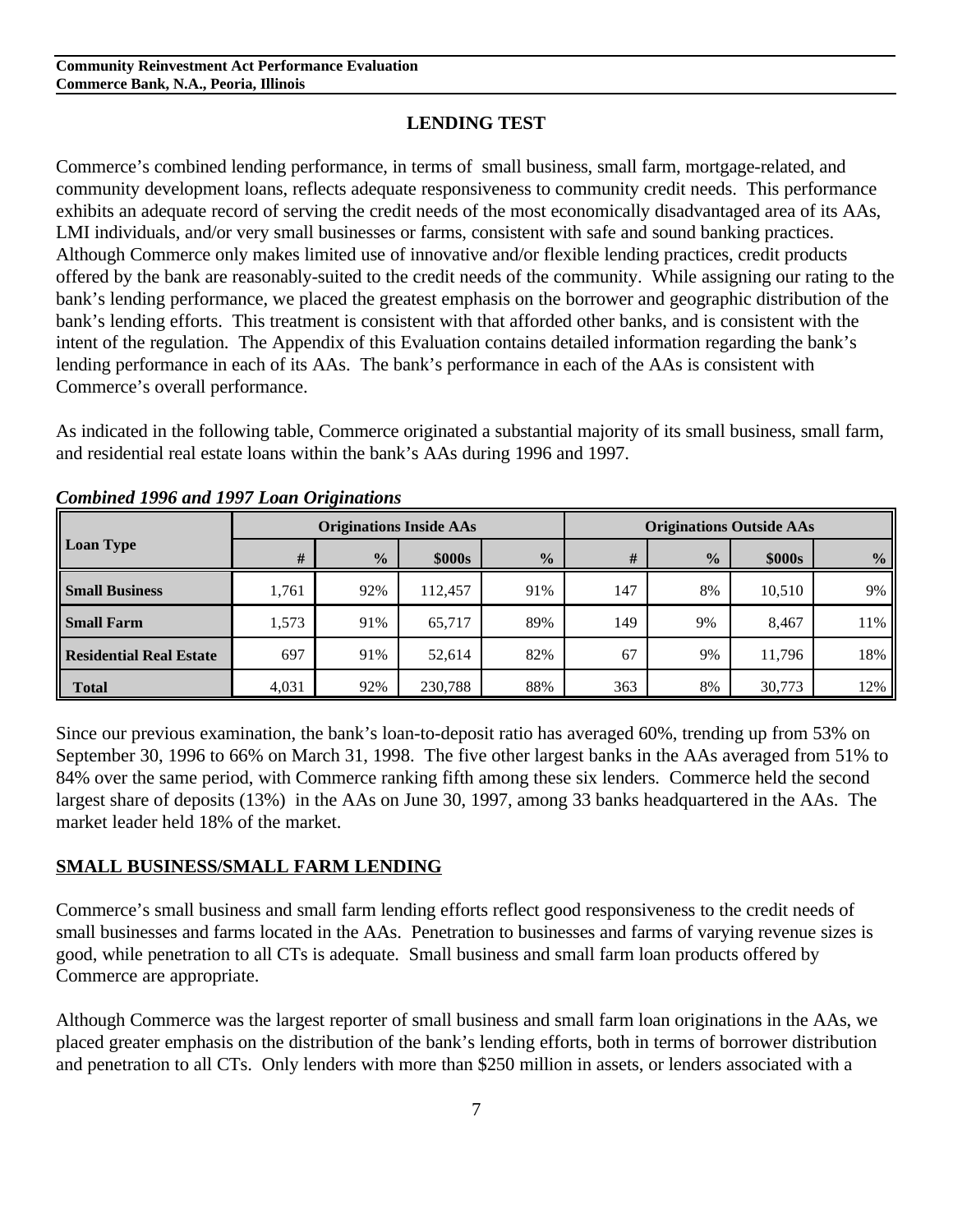#### **LENDING TEST**

Commerce's combined lending performance, in terms of small business, small farm, mortgage-related, and community development loans, reflects adequate responsiveness to community credit needs. This performance exhibits an adequate record of serving the credit needs of the most economically disadvantaged area of its AAs, LMI individuals, and/or very small businesses or farms, consistent with safe and sound banking practices. Although Commerce only makes limited use of innovative and/or flexible lending practices, credit products offered by the bank are reasonably-suited to the credit needs of the community. While assigning our rating to the bank's lending performance, we placed the greatest emphasis on the borrower and geographic distribution of the bank's lending efforts. This treatment is consistent with that afforded other banks, and is consistent with the intent of the regulation. The Appendix of this Evaluation contains detailed information regarding the bank's lending performance in each of its AAs. The bank's performance in each of the AAs is consistent with Commerce's overall performance.

As indicated in the following table, Commerce originated a substantial majority of its small business, small farm, and residential real estate loans within the bank's AAs during 1996 and 1997.

|                                |       |               | <b>Originations Inside AAs</b> |               | <b>Originations Outside AAs</b> |               |        |               |  |
|--------------------------------|-------|---------------|--------------------------------|---------------|---------------------------------|---------------|--------|---------------|--|
| <b>Loan Type</b>               | #     | $\frac{0}{0}$ | \$000s                         | $\frac{0}{0}$ | #                               | $\frac{1}{2}$ | \$000s | $\frac{0}{0}$ |  |
| <b>Small Business</b>          | 1,761 | 92%           | 112.457                        | 91%           | 147                             | 8%            | 10,510 | 9%            |  |
| <b>Small Farm</b>              | 1,573 | 91%           | 65,717                         | 89%           | 149                             | 9%            | 8,467  | 11%           |  |
| <b>Residential Real Estate</b> | 697   | 91%           | 52,614                         | 82%           | 67                              | 9%            | 11,796 | 18%           |  |
| <b>Total</b>                   | 4,031 | 92%           | 230,788                        | 88%           | 363                             | 8%            | 30,773 | 12%           |  |

*Combined 1996 and 1997 Loan Originations* 

Since our previous examination, the bank's loan-to-deposit ratio has averaged 60%, trending up from 53% on September 30, 1996 to 66% on March 31, 1998. The five other largest banks in the AAs averaged from 51% to 84% over the same period, with Commerce ranking fifth among these six lenders. Commerce held the second largest share of deposits (13%) in the AAs on June 30, 1997, among 33 banks headquartered in the AAs. The market leader held 18% of the market.

#### **SMALL BUSINESS/SMALL FARM LENDING**

Commerce's small business and small farm lending efforts reflect good responsiveness to the credit needs of small businesses and farms located in the AAs. Penetration to businesses and farms of varying revenue sizes is good, while penetration to all CTs is adequate. Small business and small farm loan products offered by Commerce are appropriate.

Although Commerce was the largest reporter of small business and small farm loan originations in the AAs, we placed greater emphasis on the distribution of the bank's lending efforts, both in terms of borrower distribution and penetration to all CTs. Only lenders with more than \$250 million in assets, or lenders associated with a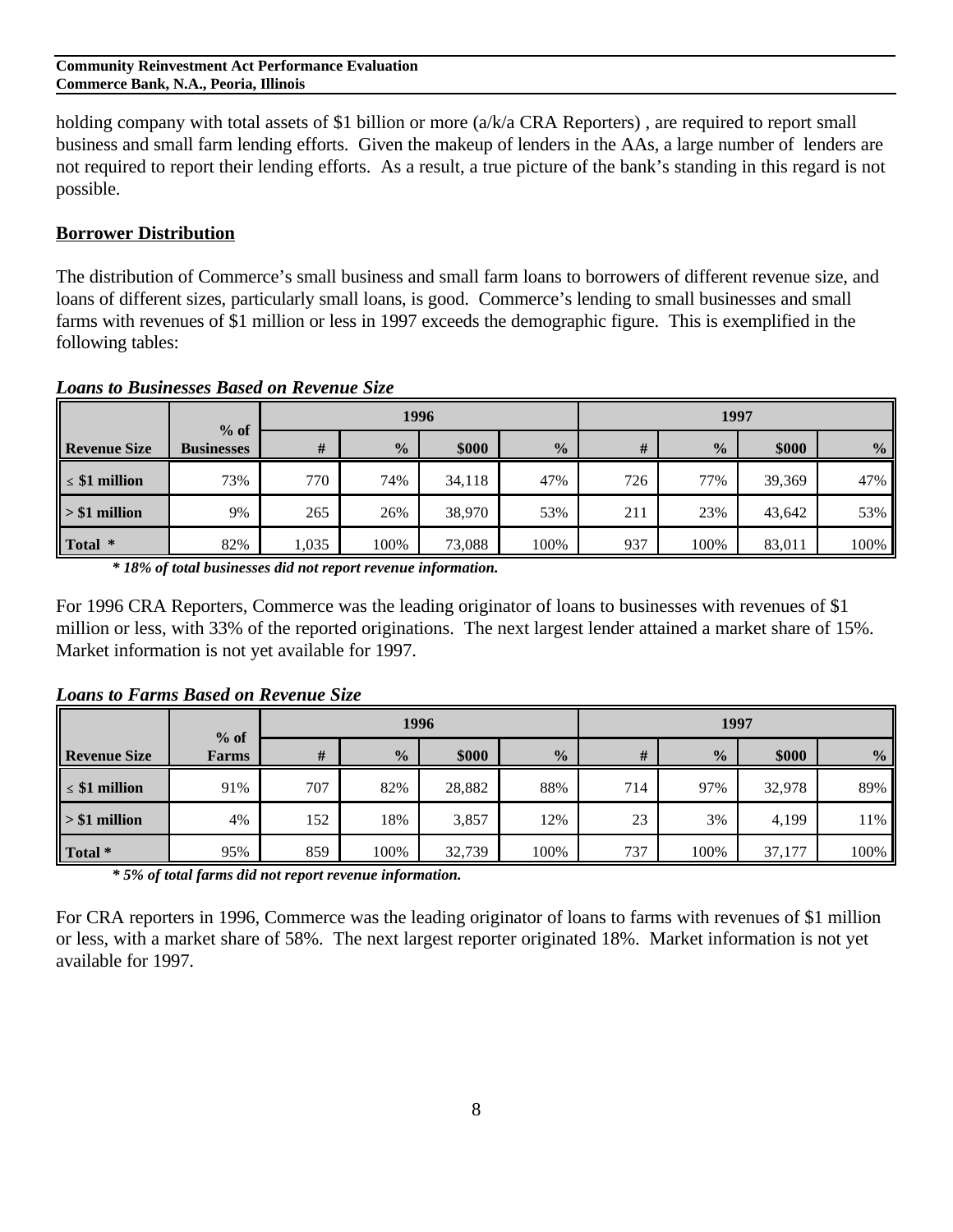holding company with total assets of \$1 billion or more  $(a/k/a$  CRA Reporters), are required to report small business and small farm lending efforts. Given the makeup of lenders in the AAs, a large number of lenders are not required to report their lending efforts. As a result, a true picture of the bank's standing in this regard is not possible.

#### **Borrower Distribution**

The distribution of Commerce's small business and small farm loans to borrowers of different revenue size, and loans of different sizes, particularly small loans, is good. Commerce's lending to small businesses and small farms with revenues of \$1 million or less in 1997 exceeds the demographic figure. This is exemplified in the following tables:

|                     | $%$ of            |       | 1996          |        |               |     | 1997          |        |               |  |
|---------------------|-------------------|-------|---------------|--------|---------------|-----|---------------|--------|---------------|--|
| <b>Revenue Size</b> | <b>Businesses</b> | #     | $\frac{0}{0}$ | \$000  | $\frac{0}{2}$ | #   | $\frac{0}{0}$ | \$000  | $\frac{0}{0}$ |  |
| $\leq$ \$1 million  | 73%               | 770   | 74%           | 34,118 | 47%           | 726 | 77%           | 39,369 | 47%           |  |
| $> $1$ million      | 9%                | 265   | 26%           | 38,970 | 53%           | 211 | 23%           | 43,642 | 53%           |  |
| Total *             | 82%               | 1,035 | 100%          | 73,088 | 100%          | 937 | 100%          | 83,011 | 100%          |  |

*Loans to Businesses Based on Revenue Size*

*\* 18% of total businesses did not report revenue information.*

For 1996 CRA Reporters, Commerce was the leading originator of loans to businesses with revenues of \$1 million or less, with 33% of the reported originations. The next largest lender attained a market share of 15%. Market information is not yet available for 1997.

#### *Loans to Farms Based on Revenue Size*

|                     |       | 1996<br>$%$ of |               |        |               |     | 1997          |        |               |  |  |
|---------------------|-------|----------------|---------------|--------|---------------|-----|---------------|--------|---------------|--|--|
| <b>Revenue Size</b> | Farms | #              | $\frac{0}{2}$ | \$000  | $\frac{0}{0}$ | #   | $\frac{0}{0}$ | \$000  | $\frac{0}{0}$ |  |  |
| $\leq$ \$1 million  | 91%   | 707            | 82%           | 28,882 | 88%           | 714 | 97%           | 32,978 | 89%           |  |  |
| $> $1$ million      | 4%    | 152            | 18%           | 3,857  | 12%           | 23  | 3%            | 4,199  | 11%           |  |  |
| Total *             | 95%   | 859            | 100%          | 32,739 | 100%          | 737 | 100%          | 37,177 | 100%          |  |  |

*\* 5% of total farms did not report revenue information.*

For CRA reporters in 1996, Commerce was the leading originator of loans to farms with revenues of \$1 million or less, with a market share of 58%. The next largest reporter originated 18%. Market information is not yet available for 1997.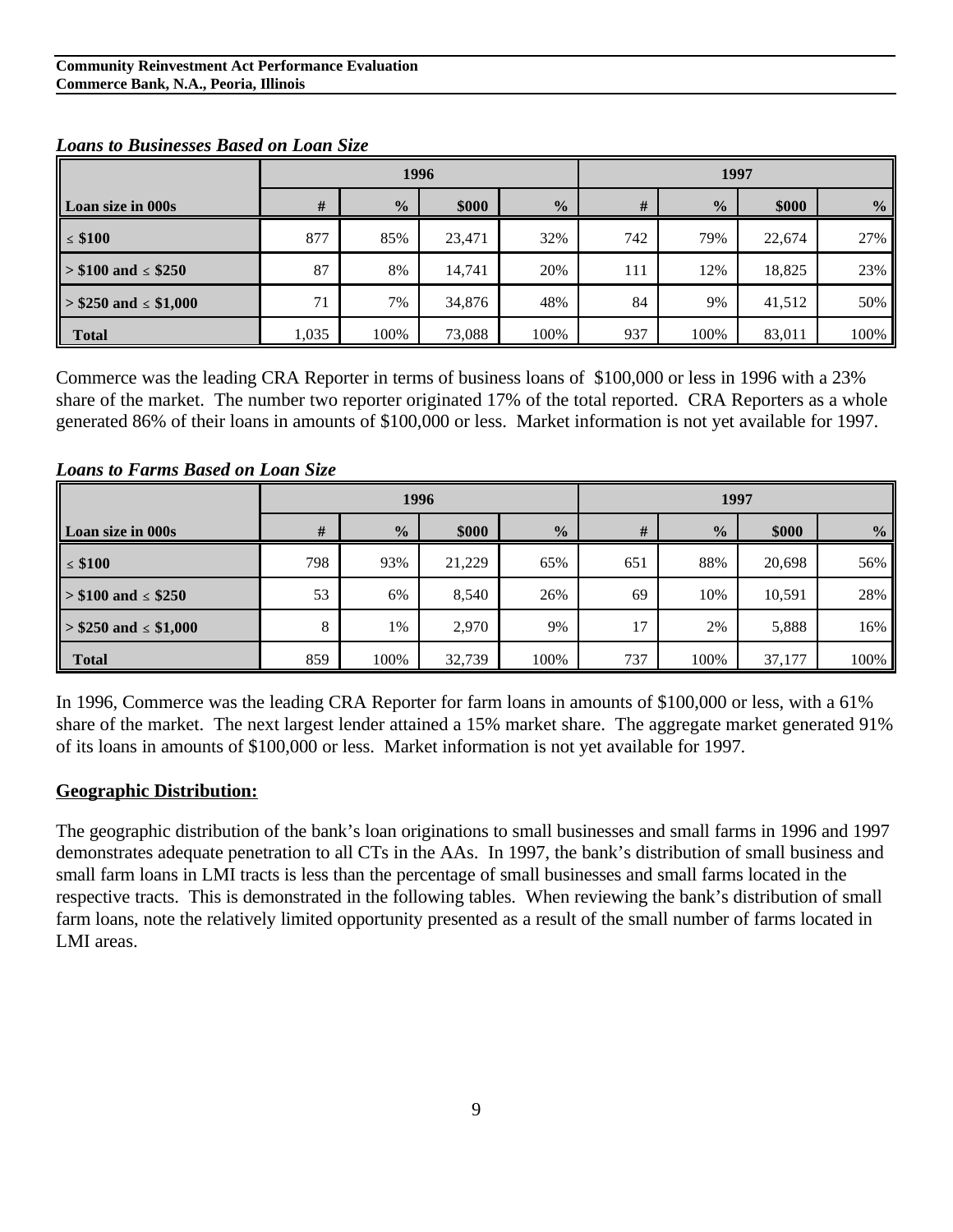|                           |       | 1996          |        |               | 1997 |               |        |               |  |
|---------------------------|-------|---------------|--------|---------------|------|---------------|--------|---------------|--|
| <b>Loan size in 000s</b>  | #     | $\frac{0}{2}$ | \$000  | $\frac{0}{2}$ | #    | $\frac{1}{2}$ | \$000  | $\frac{0}{2}$ |  |
| $\leq$ \$100              | 877   | 85%           | 23,471 | 32%           | 742  | 79%           | 22,674 | 27%           |  |
| $> $100$ and $\le$ \$250  | 87    | 8%            | 14,741 | 20%           | 111  | 12%           | 18,825 | 23%           |  |
| $> $250$ and $\le $1,000$ | 71    | 7%            | 34,876 | 48%           | 84   | 9%            | 41,512 | 50%           |  |
| <b>Total</b>              | 1,035 | 100%          | 73,088 | 100%          | 937  | 100%          | 83,011 | 100%          |  |

#### *Loans to Businesses Based on Loan Size*

Commerce was the leading CRA Reporter in terms of business loans of \$100,000 or less in 1996 with a 23% share of the market. The number two reporter originated 17% of the total reported. CRA Reporters as a whole generated 86% of their loans in amounts of \$100,000 or less. Market information is not yet available for 1997.

|                           |     |               | 1996   |               | 1997 |               |        |               |  |
|---------------------------|-----|---------------|--------|---------------|------|---------------|--------|---------------|--|
| <b>Loan size in 000s</b>  | #   | $\frac{0}{2}$ | \$000  | $\frac{0}{2}$ | #    | $\frac{0}{0}$ | \$000  | $\frac{0}{0}$ |  |
| $\leq$ \$100              | 798 | 93%           | 21,229 | 65%           | 651  | 88%           | 20,698 | 56%           |  |
| $> $100$ and $\le$ \$250  | 53  | 6%            | 8,540  | 26%           | 69   | 10%           | 10,591 | 28%           |  |
| $> $250$ and $\le $1,000$ | 8   | 1%            | 2,970  | 9%            | 17   | 2%            | 5,888  | 16%           |  |
| <b>Total</b>              | 859 | 100%          | 32,739 | 100%          | 737  | 100%          | 37,177 | 100%          |  |

#### *Loans to Farms Based on Loan Size*

In 1996, Commerce was the leading CRA Reporter for farm loans in amounts of \$100,000 or less, with a 61% share of the market. The next largest lender attained a 15% market share. The aggregate market generated 91% of its loans in amounts of \$100,000 or less. Market information is not yet available for 1997.

#### **Geographic Distribution:**

The geographic distribution of the bank's loan originations to small businesses and small farms in 1996 and 1997 demonstrates adequate penetration to all CTs in the AAs. In 1997, the bank's distribution of small business and small farm loans in LMI tracts is less than the percentage of small businesses and small farms located in the respective tracts. This is demonstrated in the following tables. When reviewing the bank's distribution of small farm loans, note the relatively limited opportunity presented as a result of the small number of farms located in LMI areas.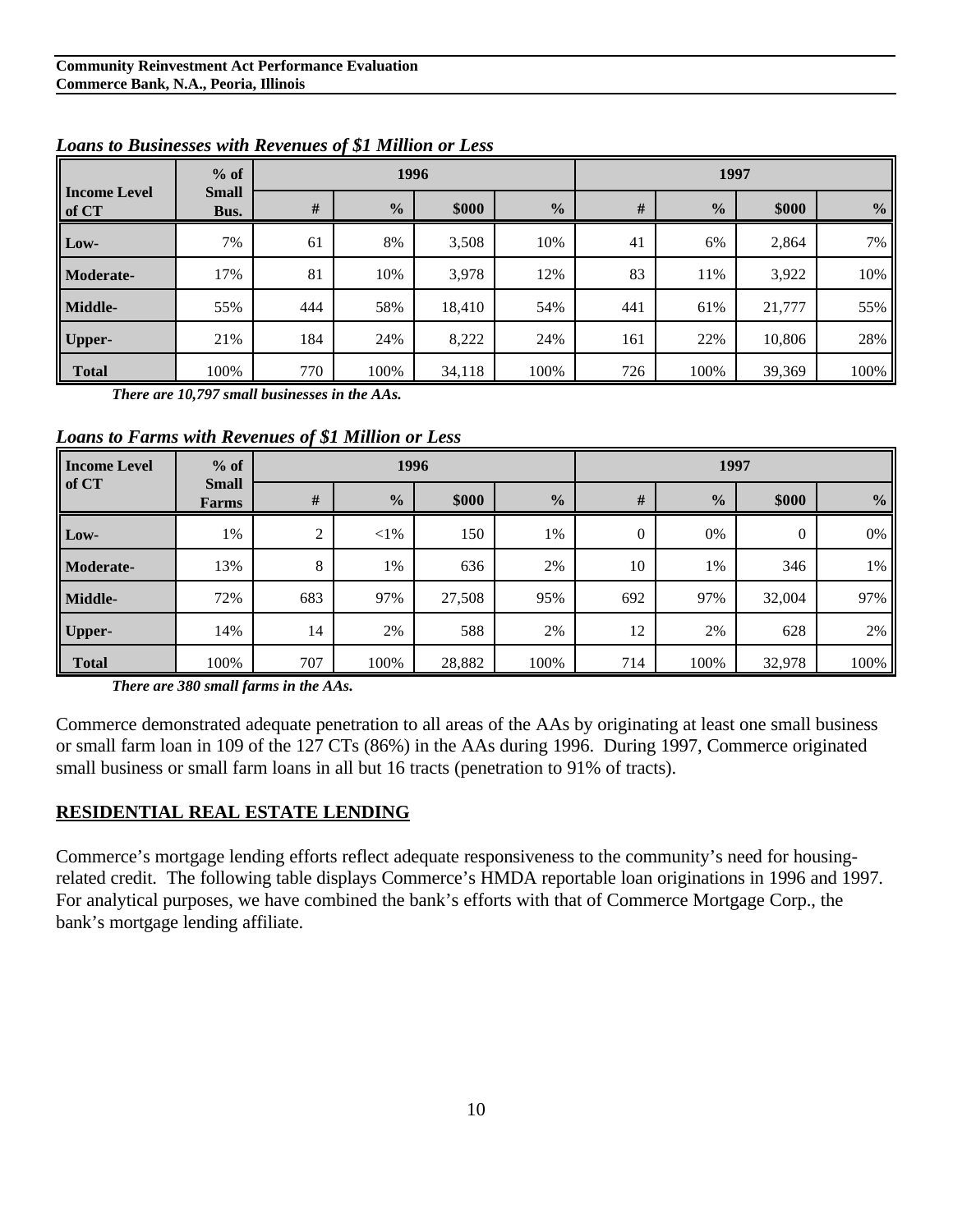|                              | $%$ of               |     | 1996          |        |               | 1997 |               |        |                |
|------------------------------|----------------------|-----|---------------|--------|---------------|------|---------------|--------|----------------|
| <b>Income Level</b><br>of CT | <b>Small</b><br>Bus. | #   | $\frac{0}{0}$ | \$000  | $\frac{0}{0}$ | #    | $\frac{0}{0}$ | \$000  | $\frac{6}{10}$ |
| Low-                         | 7%                   | 61  | 8%            | 3,508  | 10%           | 41   | 6%            | 2,864  | 7%             |
| Moderate-                    | 17%                  | 81  | 10%           | 3,978  | 12%           | 83   | 11%           | 3,922  | 10%            |
| Middle-                      | 55%                  | 444 | 58%           | 18,410 | 54%           | 441  | 61%           | 21,777 | 55%            |
| <b>Upper-</b>                | 21%                  | 184 | 24%           | 8,222  | 24%           | 161  | 22%           | 10,806 | 28%            |
| <b>Total</b>                 | 100%                 | 770 | 100%          | 34,118 | 100%          | 726  | 100%          | 39,369 | 100%           |

*Loans to Businesses with Revenues of \$1 Million or Less*

*There are 10,797 small businesses in the AAs.* 

*Loans to Farms with Revenues of \$1 Million or Less*

| <b>Income Level</b> | $%$ of                | 1996 |               |        |               | 1997 |               |          |                |
|---------------------|-----------------------|------|---------------|--------|---------------|------|---------------|----------|----------------|
| of CT               | <b>Small</b><br>Farms | #    | $\frac{0}{0}$ | \$000  | $\frac{0}{6}$ | #    | $\frac{0}{0}$ | \$000    | $\frac{6}{10}$ |
| Low-                | 1%                    | 2    | ${<}1\%$      | 150    | 1%            | 0    | 0%            | $\theta$ | 0%             |
| Moderate-           | 13%                   | 8    | 1%            | 636    | 2%            | 10   | 1%            | 346      | 1%             |
| Middle-             | 72%                   | 683  | 97%           | 27,508 | 95%           | 692  | 97%           | 32,004   | 97%            |
| <b>Upper-</b>       | 14%                   | 14   | 2%            | 588    | 2%            | 12   | 2%            | 628      | 2%             |
| <b>Total</b>        | 100%                  | 707  | 100%          | 28,882 | 100%          | 714  | 100%          | 32,978   | 100%           |

*There are 380 small farms in the AAs.* 

Commerce demonstrated adequate penetration to all areas of the AAs by originating at least one small business or small farm loan in 109 of the 127 CTs (86%) in the AAs during 1996. During 1997, Commerce originated small business or small farm loans in all but 16 tracts (penetration to 91% of tracts).

#### **RESIDENTIAL REAL ESTATE LENDING**

Commerce's mortgage lending efforts reflect adequate responsiveness to the community's need for housingrelated credit. The following table displays Commerce's HMDA reportable loan originations in 1996 and 1997. For analytical purposes, we have combined the bank's efforts with that of Commerce Mortgage Corp., the bank's mortgage lending affiliate.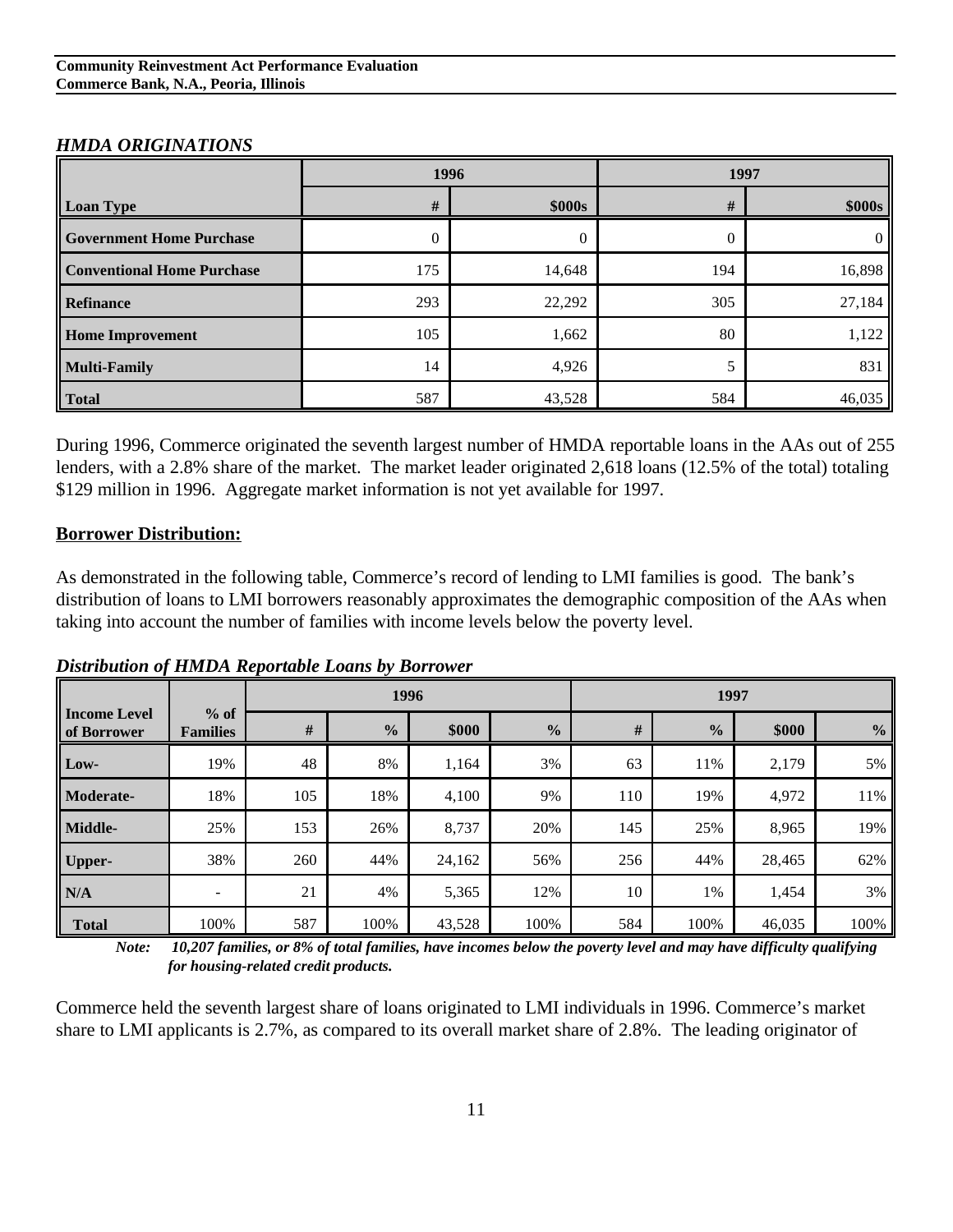#### *HMDA ORIGINATIONS*

|                                   | 1996 |        | 1997 |          |
|-----------------------------------|------|--------|------|----------|
| Loan Type                         | #    | \$000s | #    | \$000s   |
| <b>Government Home Purchase</b>   | 0    | 0      |      | $\Omega$ |
| <b>Conventional Home Purchase</b> | 175  | 14,648 | 194  | 16,898   |
| Refinance                         | 293  | 22,292 | 305  | 27,184   |
| <b>Home Improvement</b>           | 105  | 1,662  | 80   | 1,122    |
| <b>Multi-Family</b>               | 14   | 4,926  |      | 831      |
| Total                             | 587  | 43,528 | 584  | 46,035   |

During 1996, Commerce originated the seventh largest number of HMDA reportable loans in the AAs out of 255 lenders, with a 2.8% share of the market. The market leader originated 2,618 loans (12.5% of the total) totaling \$129 million in 1996. Aggregate market information is not yet available for 1997.

#### **Borrower Distribution:**

As demonstrated in the following table, Commerce's record of lending to LMI families is good. The bank's distribution of loans to LMI borrowers reasonably approximates the demographic composition of the AAs when taking into account the number of families with income levels below the poverty level.

*Distribution of HMDA Reportable Loans by Borrower*

|                                    |                           |      | 1996          |        |               |     | 1997          |        |               |
|------------------------------------|---------------------------|------|---------------|--------|---------------|-----|---------------|--------|---------------|
| <b>Income Level</b><br>of Borrower | $%$ of<br><b>Families</b> | $\#$ | $\frac{0}{0}$ | \$000  | $\frac{0}{0}$ | #   | $\frac{0}{0}$ | \$000  | $\frac{0}{0}$ |
| Low-                               | 19%                       | 48   | 8%            | 1,164  | 3%            | 63  | 11%           | 2,179  | 5%            |
| <b>Moderate-</b>                   | 18%                       | 105  | 18%           | 4,100  | 9%            | 110 | 19%           | 4,972  | 11%           |
| Middle-                            | 25%                       | 153  | 26%           | 8,737  | 20%           | 145 | 25%           | 8,965  | 19%           |
| Upper-                             | 38%                       | 260  | 44%           | 24,162 | 56%           | 256 | 44%           | 28,465 | 62%           |
| N/A                                | $\overline{\phantom{a}}$  | 21   | 4%            | 5,365  | 12%           | 10  | 1%            | 1,454  | 3%            |
| <b>Total</b>                       | 100%                      | 587  | 100%          | 43,528 | 100%          | 584 | 100%          | 46,035 | 100%          |

 *Note: 10,207 families, or 8% of total families, have incomes below the poverty level and may have difficulty qualifying for housing-related credit products.*

Commerce held the seventh largest share of loans originated to LMI individuals in 1996. Commerce's market share to LMI applicants is 2.7%, as compared to its overall market share of 2.8%. The leading originator of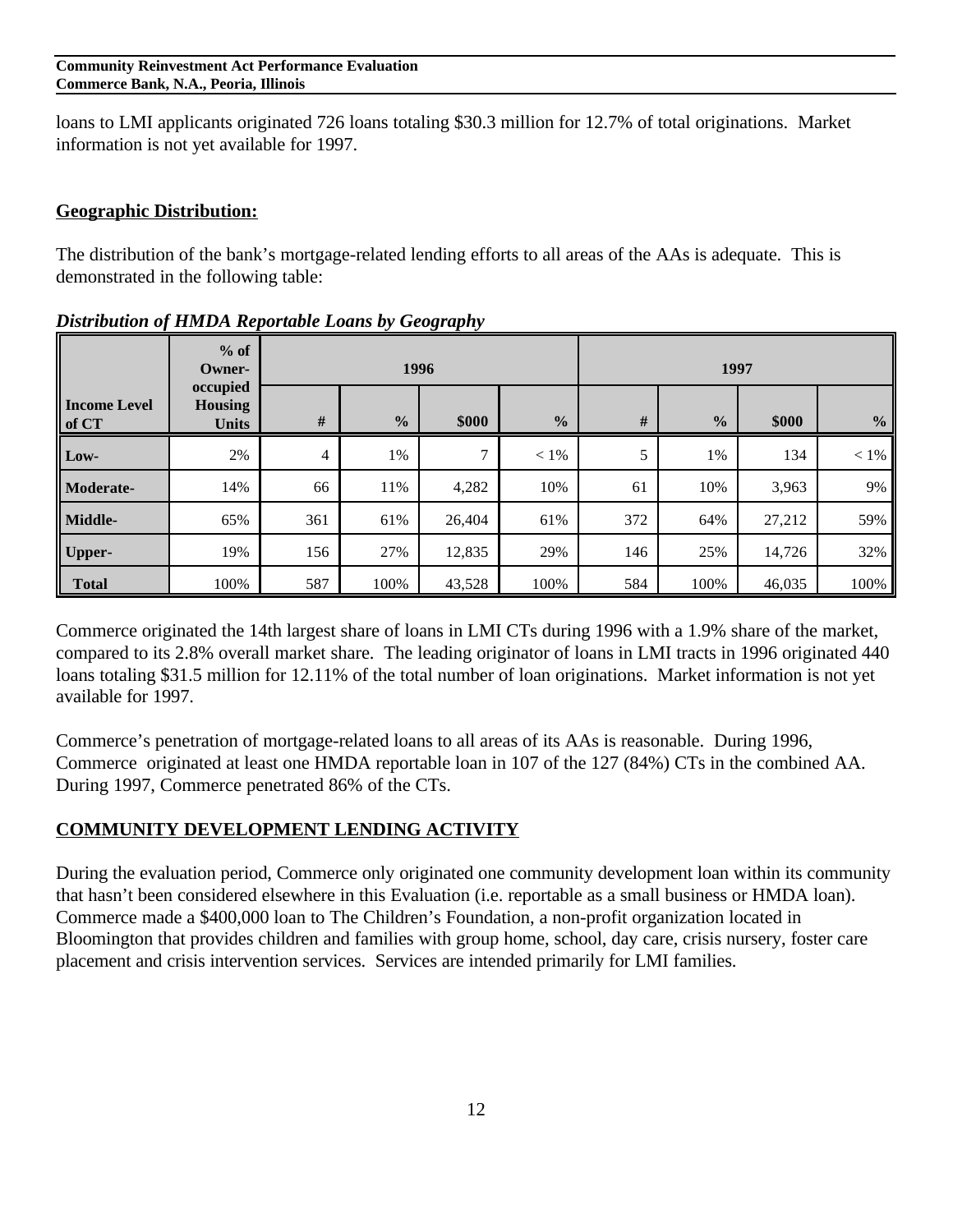#### **Community Reinvestment Act Performance Evaluation Commerce Bank, N.A., Peoria, Illinois**

loans to LMI applicants originated 726 loans totaling \$30.3 million for 12.7% of total originations. Market information is not yet available for 1997.

#### **Geographic Distribution:**

The distribution of the bank's mortgage-related lending efforts to all areas of the AAs is adequate. This is demonstrated in the following table:

|                              | $%$ of<br>Owner-                           |      | 1996          |               |               | 1997 |               |        |               |
|------------------------------|--------------------------------------------|------|---------------|---------------|---------------|------|---------------|--------|---------------|
| <b>Income Level</b><br>of CT | occupied<br><b>Housing</b><br><b>Units</b> | $\#$ | $\frac{0}{2}$ | \$000         | $\frac{6}{6}$ | $\#$ | $\frac{6}{6}$ | \$000  | $\frac{6}{6}$ |
| Low-                         | 2%                                         | 4    | 1%            | $\mathcal{I}$ | $< 1\%$       | 5    | 1%            | 134    | $< 1\%$       |
| <b>Moderate-</b>             | 14%                                        | 66   | 11%           | 4,282         | 10%           | 61   | 10%           | 3,963  | 9%            |
| Middle-                      | 65%                                        | 361  | 61%           | 26,404        | 61%           | 372  | 64%           | 27,212 | 59%           |
| Upper-                       | 19%                                        | 156  | 27%           | 12,835        | 29%           | 146  | 25%           | 14,726 | 32%           |
| <b>Total</b>                 | 100%                                       | 587  | 100%          | 43,528        | 100%          | 584  | 100%          | 46,035 | 100%          |

*Distribution of HMDA Reportable Loans by Geography*

Commerce originated the 14th largest share of loans in LMI CTs during 1996 with a 1.9% share of the market, compared to its 2.8% overall market share. The leading originator of loans in LMI tracts in 1996 originated 440 loans totaling \$31.5 million for 12.11% of the total number of loan originations. Market information is not yet available for 1997.

Commerce's penetration of mortgage-related loans to all areas of its AAs is reasonable. During 1996, Commerce originated at least one HMDA reportable loan in 107 of the 127 (84%) CTs in the combined AA. During 1997, Commerce penetrated 86% of the CTs.

#### **COMMUNITY DEVELOPMENT LENDING ACTIVITY**

During the evaluation period, Commerce only originated one community development loan within its community that hasn't been considered elsewhere in this Evaluation (i.e. reportable as a small business or HMDA loan). Commerce made a \$400,000 loan to The Children's Foundation, a non-profit organization located in Bloomington that provides children and families with group home, school, day care, crisis nursery, foster care placement and crisis intervention services. Services are intended primarily for LMI families.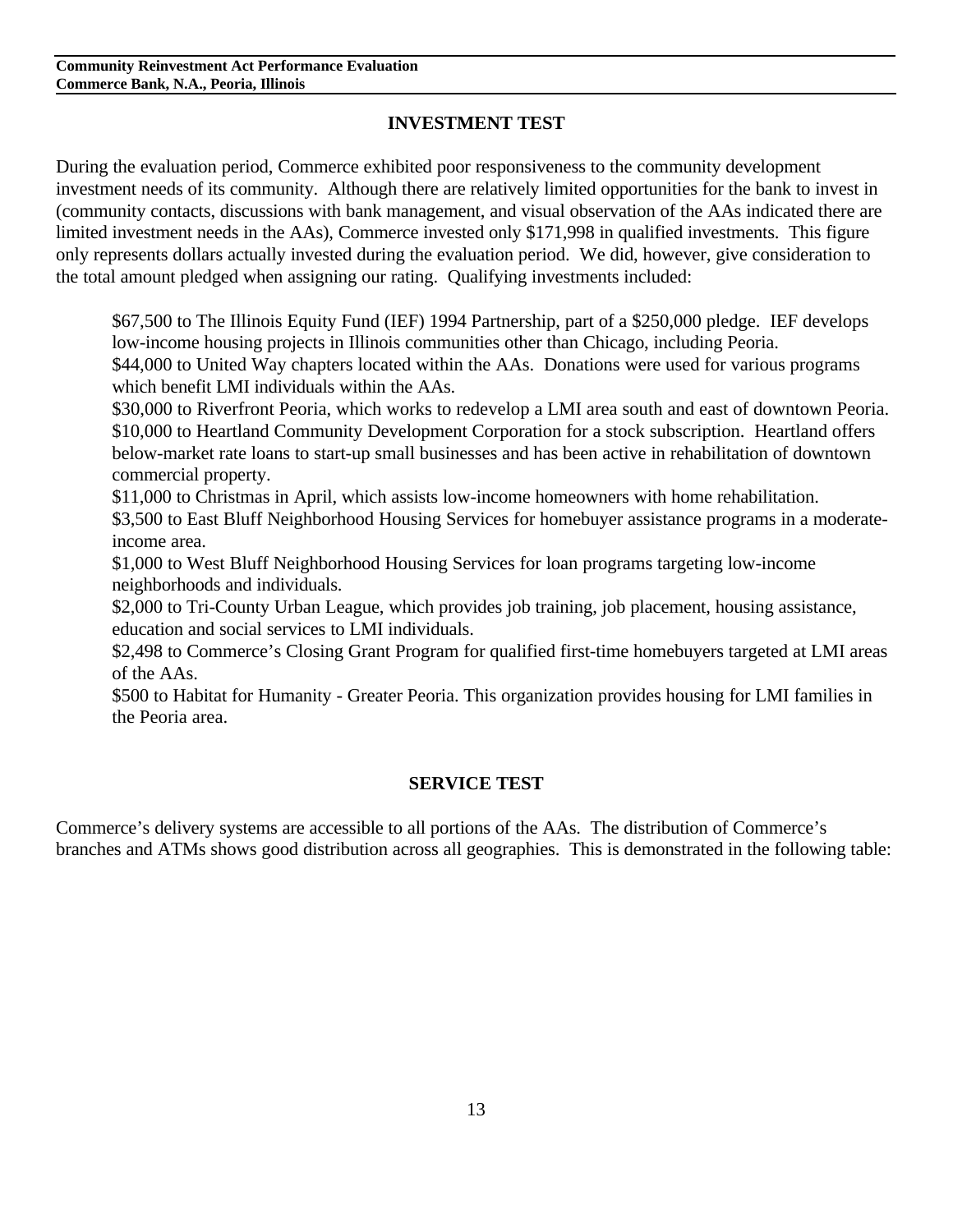## **INVESTMENT TEST**

During the evaluation period, Commerce exhibited poor responsiveness to the community development investment needs of its community. Although there are relatively limited opportunities for the bank to invest in (community contacts, discussions with bank management, and visual observation of the AAs indicated there are limited investment needs in the AAs), Commerce invested only \$171,998 in qualified investments. This figure only represents dollars actually invested during the evaluation period. We did, however, give consideration to the total amount pledged when assigning our rating. Qualifying investments included:

\$67,500 to The Illinois Equity Fund (IEF) 1994 Partnership, part of a \$250,000 pledge. IEF develops low-income housing projects in Illinois communities other than Chicago, including Peoria. \$44,000 to United Way chapters located within the AAs. Donations were used for various programs which benefit LMI individuals within the AAs.

\$30,000 to Riverfront Peoria, which works to redevelop a LMI area south and east of downtown Peoria. \$10,000 to Heartland Community Development Corporation for a stock subscription. Heartland offers below-market rate loans to start-up small businesses and has been active in rehabilitation of downtown commercial property.

\$11,000 to Christmas in April, which assists low-income homeowners with home rehabilitation. \$3,500 to East Bluff Neighborhood Housing Services for homebuyer assistance programs in a moderateincome area.

\$1,000 to West Bluff Neighborhood Housing Services for loan programs targeting low-income neighborhoods and individuals.

\$2,000 to Tri-County Urban League, which provides job training, job placement, housing assistance, education and social services to LMI individuals.

\$2,498 to Commerce's Closing Grant Program for qualified first-time homebuyers targeted at LMI areas of the AAs.

\$500 to Habitat for Humanity - Greater Peoria. This organization provides housing for LMI families in the Peoria area.

#### **SERVICE TEST**

Commerce's delivery systems are accessible to all portions of the AAs. The distribution of Commerce's branches and ATMs shows good distribution across all geographies. This is demonstrated in the following table: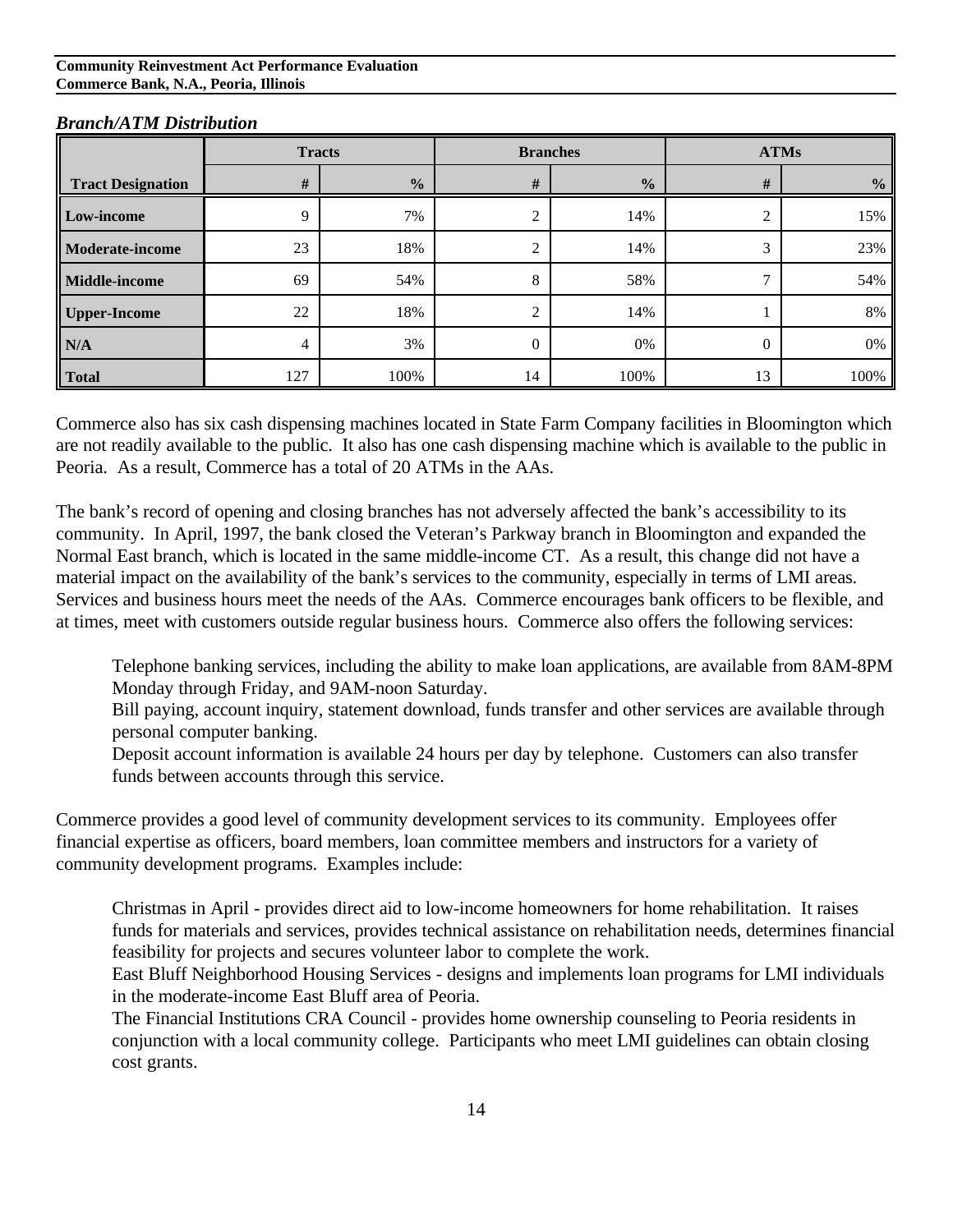#### **Community Reinvestment Act Performance Evaluation Commerce Bank, N.A., Peoria, Illinois**

|                          |     | <b>Tracts</b> |                | <b>Branches</b> |          | <b>ATMs</b>   |
|--------------------------|-----|---------------|----------------|-----------------|----------|---------------|
| <b>Tract Designation</b> | #   | $\frac{0}{0}$ | #              | $\frac{0}{2}$   | #        | $\frac{0}{0}$ |
| Low-income               | 9   | 7%            | ◠              | 14%             | ⌒        | 15%           |
| Moderate-income          | 23  | 18%           | ◠              | 14%             | 3        | 23%           |
| Middle-income            | 69  | 54%           | 8              | 58%             | −        | 54%           |
| <b>Upper-Income</b>      | 22  | 18%           | $\overline{2}$ | 14%             |          | 8%            |
| N/A                      | 4   | 3%            | $\mathbf{0}$   | 0%              | $\Omega$ | $0\%$         |
| <b>Total</b>             | 127 | 100%          | 14             | 100%            | 13       | 100%          |

#### *Branch/ATM Distribution*

Commerce also has six cash dispensing machines located in State Farm Company facilities in Bloomington which are not readily available to the public. It also has one cash dispensing machine which is available to the public in Peoria. As a result, Commerce has a total of 20 ATMs in the AAs.

The bank's record of opening and closing branches has not adversely affected the bank's accessibility to its community. In April, 1997, the bank closed the Veteran's Parkway branch in Bloomington and expanded the Normal East branch, which is located in the same middle-income CT. As a result, this change did not have a material impact on the availability of the bank's services to the community, especially in terms of LMI areas. Services and business hours meet the needs of the AAs. Commerce encourages bank officers to be flexible, and at times, meet with customers outside regular business hours. Commerce also offers the following services:

Telephone banking services, including the ability to make loan applications, are available from 8AM-8PM Monday through Friday, and 9AM-noon Saturday.

Bill paying, account inquiry, statement download, funds transfer and other services are available through personal computer banking.

Deposit account information is available 24 hours per day by telephone. Customers can also transfer funds between accounts through this service.

Commerce provides a good level of community development services to its community. Employees offer financial expertise as officers, board members, loan committee members and instructors for a variety of community development programs. Examples include:

Christmas in April - provides direct aid to low-income homeowners for home rehabilitation. It raises funds for materials and services, provides technical assistance on rehabilitation needs, determines financial feasibility for projects and secures volunteer labor to complete the work.

East Bluff Neighborhood Housing Services - designs and implements loan programs for LMI individuals in the moderate-income East Bluff area of Peoria.

The Financial Institutions CRA Council - provides home ownership counseling to Peoria residents in conjunction with a local community college. Participants who meet LMI guidelines can obtain closing cost grants.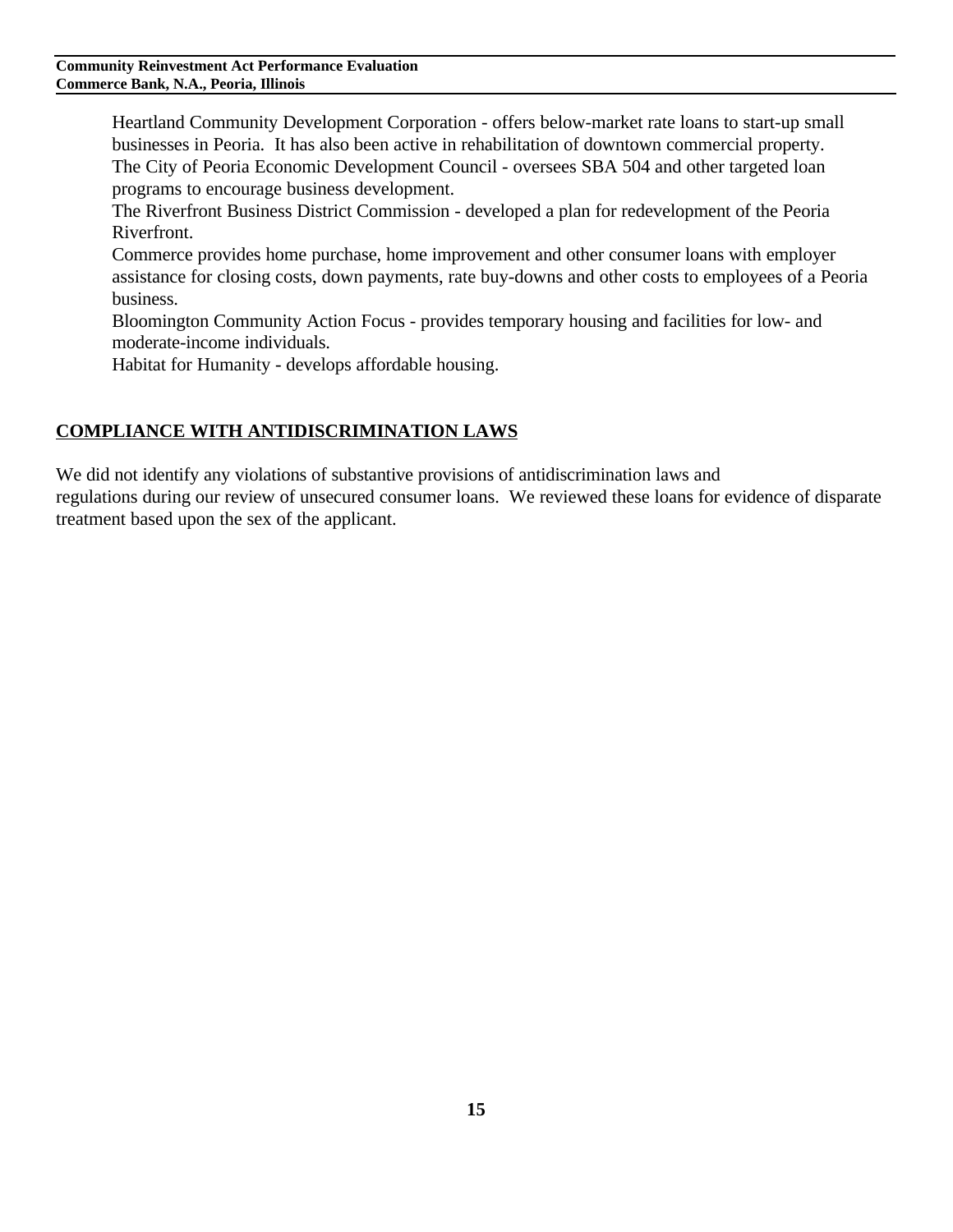Heartland Community Development Corporation - offers below-market rate loans to start-up small businesses in Peoria. It has also been active in rehabilitation of downtown commercial property. The City of Peoria Economic Development Council - oversees SBA 504 and other targeted loan programs to encourage business development.

The Riverfront Business District Commission - developed a plan for redevelopment of the Peoria Riverfront.

Commerce provides home purchase, home improvement and other consumer loans with employer assistance for closing costs, down payments, rate buy-downs and other costs to employees of a Peoria business.

Bloomington Community Action Focus - provides temporary housing and facilities for low- and moderate-income individuals.

Habitat for Humanity - develops affordable housing.

## **COMPLIANCE WITH ANTIDISCRIMINATION LAWS**

We did not identify any violations of substantive provisions of antidiscrimination laws and regulations during our review of unsecured consumer loans. We reviewed these loans for evidence of disparate treatment based upon the sex of the applicant.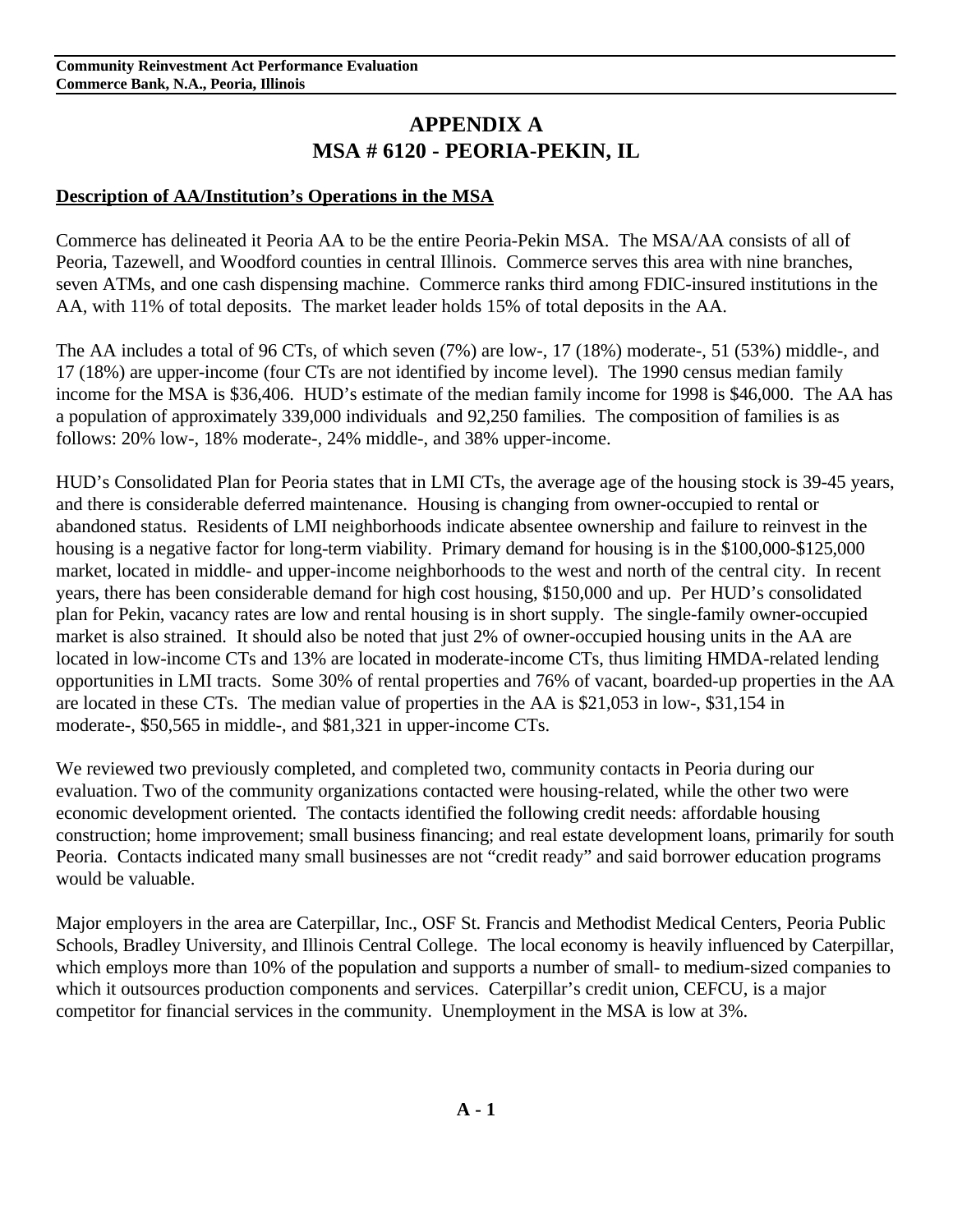# **APPENDIX A MSA # 6120 - PEORIA-PEKIN, IL**

## **Description of AA/Institution's Operations in the MSA**

Commerce has delineated it Peoria AA to be the entire Peoria-Pekin MSA. The MSA/AA consists of all of Peoria, Tazewell, and Woodford counties in central Illinois. Commerce serves this area with nine branches, seven ATMs, and one cash dispensing machine. Commerce ranks third among FDIC-insured institutions in the AA, with 11% of total deposits. The market leader holds 15% of total deposits in the AA.

The AA includes a total of 96 CTs, of which seven (7%) are low-, 17 (18%) moderate-, 51 (53%) middle-, and 17 (18%) are upper-income (four CTs are not identified by income level). The 1990 census median family income for the MSA is \$36,406. HUD's estimate of the median family income for 1998 is \$46,000. The AA has a population of approximately 339,000 individuals and 92,250 families. The composition of families is as follows: 20% low-, 18% moderate-, 24% middle-, and 38% upper-income.

HUD's Consolidated Plan for Peoria states that in LMI CTs, the average age of the housing stock is 39-45 years, and there is considerable deferred maintenance. Housing is changing from owner-occupied to rental or abandoned status. Residents of LMI neighborhoods indicate absentee ownership and failure to reinvest in the housing is a negative factor for long-term viability. Primary demand for housing is in the \$100,000-\$125,000 market, located in middle- and upper-income neighborhoods to the west and north of the central city. In recent years, there has been considerable demand for high cost housing, \$150,000 and up. Per HUD's consolidated plan for Pekin, vacancy rates are low and rental housing is in short supply. The single-family owner-occupied market is also strained. It should also be noted that just 2% of owner-occupied housing units in the AA are located in low-income CTs and 13% are located in moderate-income CTs, thus limiting HMDA-related lending opportunities in LMI tracts. Some 30% of rental properties and 76% of vacant, boarded-up properties in the AA are located in these CTs. The median value of properties in the AA is \$21,053 in low-, \$31,154 in moderate-, \$50,565 in middle-, and \$81,321 in upper-income CTs.

We reviewed two previously completed, and completed two, community contacts in Peoria during our evaluation. Two of the community organizations contacted were housing-related, while the other two were economic development oriented. The contacts identified the following credit needs: affordable housing construction; home improvement; small business financing; and real estate development loans, primarily for south Peoria. Contacts indicated many small businesses are not "credit ready" and said borrower education programs would be valuable.

Major employers in the area are Caterpillar, Inc., OSF St. Francis and Methodist Medical Centers, Peoria Public Schools, Bradley University, and Illinois Central College. The local economy is heavily influenced by Caterpillar, which employs more than 10% of the population and supports a number of small- to medium-sized companies to which it outsources production components and services. Caterpillar's credit union, CEFCU, is a major competitor for financial services in the community. Unemployment in the MSA is low at 3%.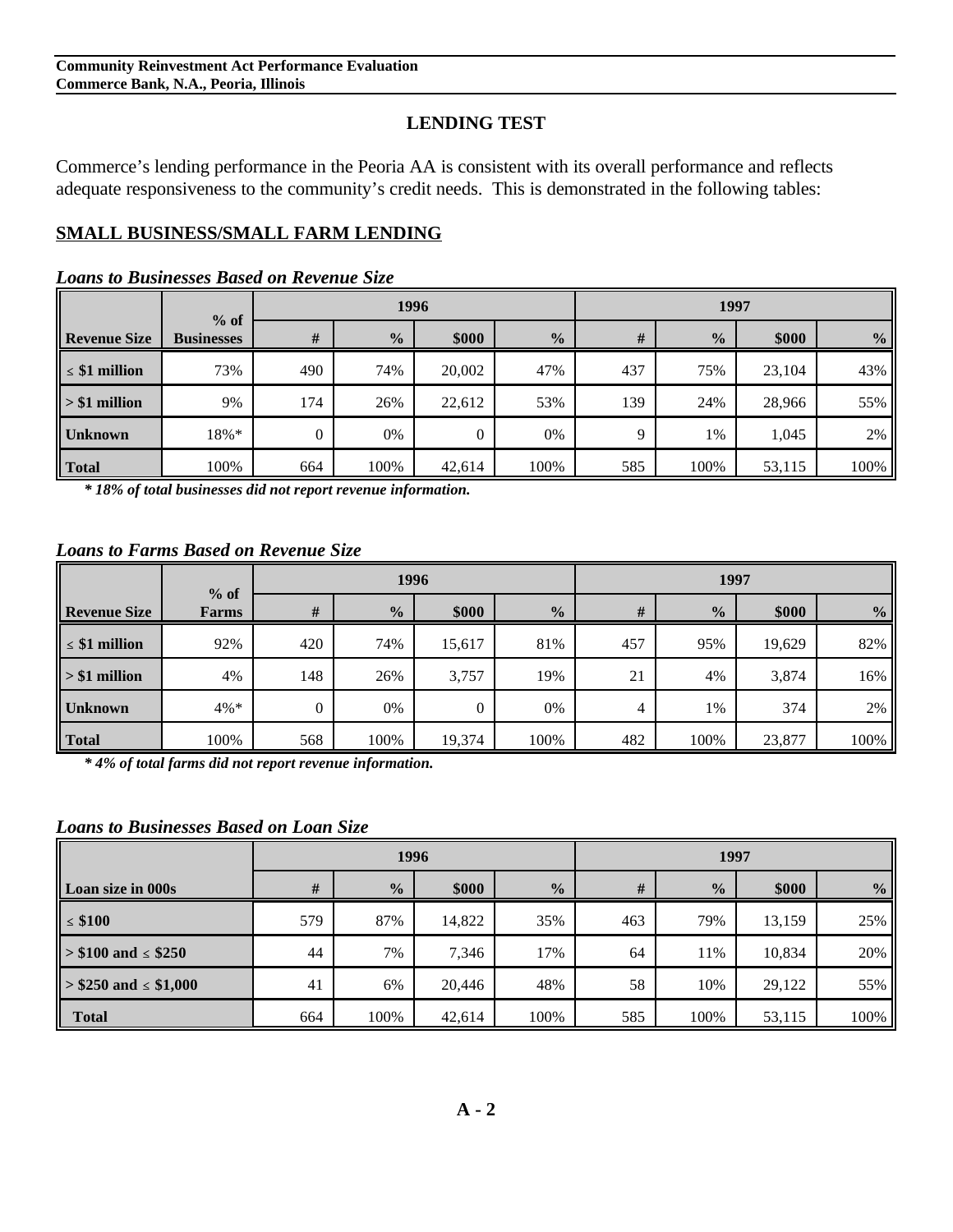## **LENDING TEST**

Commerce's lending performance in the Peoria AA is consistent with its overall performance and reflects adequate responsiveness to the community's credit needs. This is demonstrated in the following tables:

# **SMALL BUSINESS/SMALL FARM LENDING**

#### *Loans to Businesses Based on Revenue Size*

|                     | $%$ of            |          |               | 1996   |               | 1997 |               |        |                |
|---------------------|-------------------|----------|---------------|--------|---------------|------|---------------|--------|----------------|
| <b>Revenue Size</b> | <b>Businesses</b> | $\#$     | $\frac{0}{0}$ | \$000  | $\frac{0}{0}$ | #    | $\frac{0}{2}$ | \$000  | $\frac{6}{10}$ |
| $\leq$ \$1 million  | 73%               | 490      | 74%           | 20,002 | 47%           | 437  | 75%           | 23,104 | 43%            |
| $> $1$ million      | 9%                | 174      | 26%           | 22,612 | 53%           | 139  | 24%           | 28,966 | 55%            |
| <b>Unknown</b>      | 18%*              | $\theta$ | 0%            |        | 0%            | 9    | 1%            | 1,045  | 2%             |
| Total               | 100%              | 664      | 100%          | 42,614 | 100%          | 585  | 100%          | 53,115 | 100%           |

*\* 18% of total businesses did not report revenue information.*

#### *Loans to Farms Based on Revenue Size*

|                     | $%$ of  |          |               | 1996           |               | 1997 |               |        |               |
|---------------------|---------|----------|---------------|----------------|---------------|------|---------------|--------|---------------|
| <b>Revenue Size</b> | Farms   | #        | $\frac{0}{0}$ | \$000          | $\frac{0}{2}$ | $\#$ | $\frac{0}{0}$ | \$000  | $\frac{0}{0}$ |
| $\leq$ \$1 million  | 92%     | 420      | 74%           | 15,617         | 81%           | 457  | 95%           | 19,629 | 82%           |
| $\geq$ \$1 million  | 4%      | 148      | 26%           | 3,757          | 19%           | 21   | 4%            | 3,874  | 16%           |
| <b>Unknown</b>      | $4\% *$ | $\theta$ | 0%            | $\overline{0}$ | 0%            | 4    | 1%            | 374    | 2%            |
| Total               | 100%    | 568      | 100%          | 19,374         | 100%          | 482  | 100%          | 23,877 | 100%          |

*\* 4% of total farms did not report revenue information.*

*Loans to Businesses Based on Loan Size*

|                               |     | 1996          |        |               | 1997 |               |        |               |
|-------------------------------|-----|---------------|--------|---------------|------|---------------|--------|---------------|
| Loan size in 000s             | #   | $\frac{0}{0}$ | \$000  | $\frac{0}{0}$ | #    | $\frac{0}{2}$ | \$000  | $\frac{0}{0}$ |
| $\leq$ \$100                  | 579 | 87%           | 14,822 | 35%           | 463  | 79%           | 13,159 | 25%           |
| $\ge$ \$100 and $\le$ \$250   | 44  | 7%            | 7,346  | 17%           | 64   | 11%           | 10,834 | 20%           |
| $\ge$ \$250 and $\le$ \$1,000 | 41  | 6%            | 20,446 | 48%           | 58   | 10%           | 29,122 | 55%           |
| <b>Total</b>                  | 664 | 100%          | 42,614 | 100%          | 585  | 100%          | 53,115 | 100%          |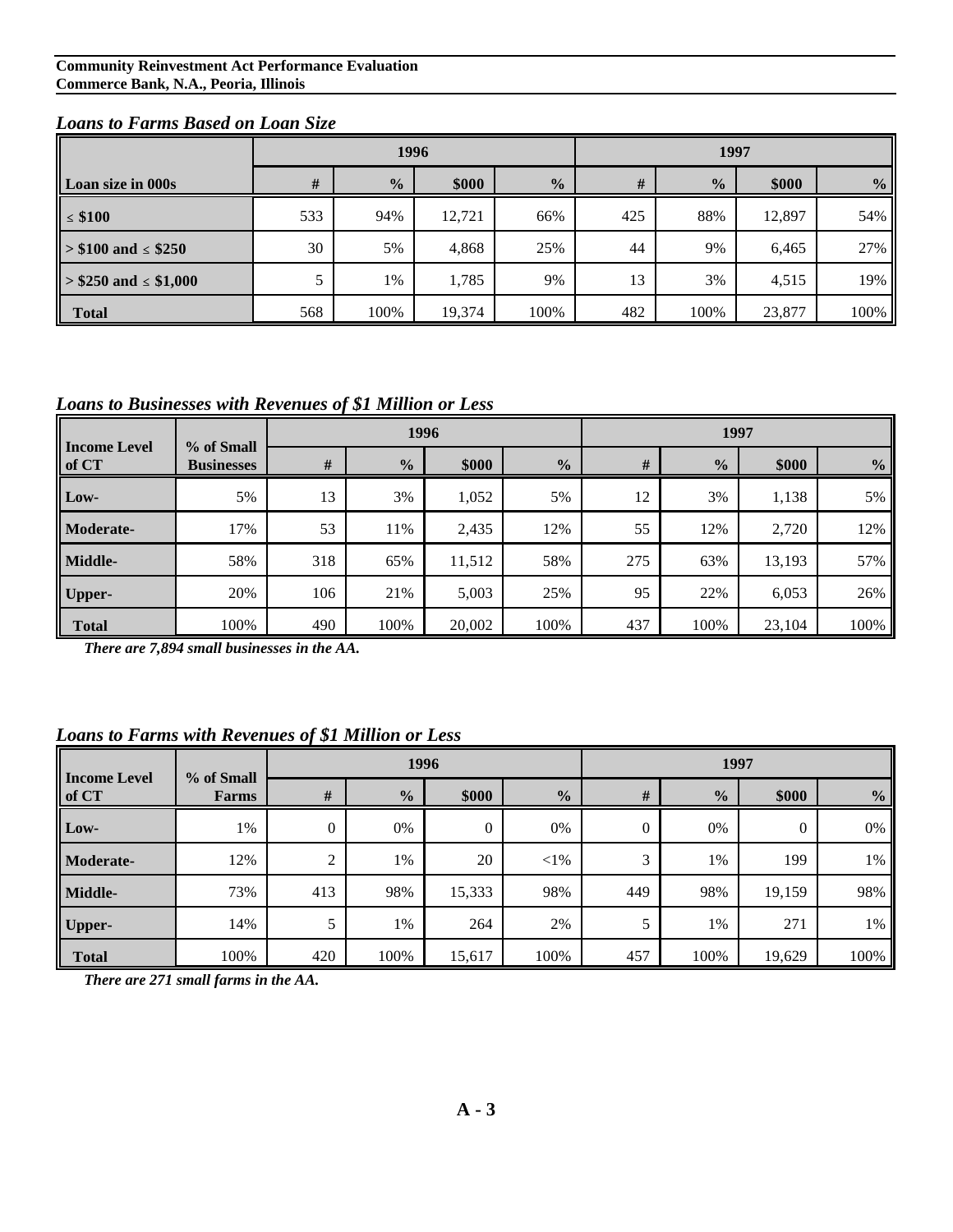#### *Loans to Farms Based on Loan Size*

|                             |     | 1996          |        |               | 1997 |               |        |               |
|-----------------------------|-----|---------------|--------|---------------|------|---------------|--------|---------------|
| Loan size in 000s           | #   | $\frac{0}{0}$ | \$000  | $\frac{0}{0}$ | #    | $\frac{0}{2}$ | \$000  | $\frac{0}{2}$ |
| $\leq$ \$100                | 533 | 94%           | 12,721 | 66%           | 425  | 88%           | 12,897 | 54%           |
| $\ge$ \$100 and $\le$ \$250 | 30  | 5%            | 4,868  | 25%           | 44   | 9%            | 6,465  | 27%           |
| $>$ \$250 and $\le$ \$1,000 |     | 1%            | 1,785  | 9%            | 13   | 3%            | 4,515  | 19%           |
| <b>Total</b>                | 568 | 100%          | 19,374 | 100%          | 482  | 100%          | 23,877 | 100%          |

#### *Loans to Businesses with Revenues of \$1 Million or Less*

|                              | % of Small        | 1996 |               |        |               | 1997 |               |        |               |
|------------------------------|-------------------|------|---------------|--------|---------------|------|---------------|--------|---------------|
| <b>Income Level</b><br>of CT | <b>Businesses</b> | #    | $\frac{0}{0}$ | \$000  | $\frac{0}{0}$ | #    | $\frac{0}{0}$ | \$000  | $\frac{6}{9}$ |
| Low-                         | 5%                | 13   | 3%            | 1,052  | 5%            | 12   | 3%            | 1,138  | 5%            |
| <b>Moderate-</b>             | 17%               | 53   | 11%           | 2,435  | 12%           | 55   | 12%           | 2,720  | 12%           |
| Middle-                      | 58%               | 318  | 65%           | 11,512 | 58%           | 275  | 63%           | 13,193 | 57%           |
| <b>Upper-</b>                | 20%               | 106  | 21%           | 5,003  | 25%           | 95   | 22%           | 6,053  | 26%           |
| <b>Total</b>                 | 100%              | 490  | 100%          | 20,002 | 100%          | 437  | 100%          | 23,104 | 100%          |

*There are 7,894 small businesses in the AA.*

#### *Loans to Farms with Revenues of \$1 Million or Less*

|                              | % of Small<br>Farms |                | 1996          |              |               |          | 1997          |        |                |  |
|------------------------------|---------------------|----------------|---------------|--------------|---------------|----------|---------------|--------|----------------|--|
| <b>Income Level</b><br>of CT |                     | $\#$           | $\frac{0}{0}$ | \$000        | $\frac{0}{2}$ | #        | $\frac{0}{0}$ | \$000  | $\frac{6}{10}$ |  |
| Low-                         | 1%                  | $\mathbf{0}$   | 0%            | $\mathbf{0}$ | 0%            | $\theta$ | 0%            | 0      | 0%             |  |
| Moderate-                    | 12%                 | $\overline{c}$ | 1%            | 20           | $<$ 1%        | 3        | 1%            | 199    | 1%             |  |
| Middle-                      | 73%                 | 413            | 98%           | 15,333       | 98%           | 449      | 98%           | 19,159 | 98%            |  |
| <b>Upper-</b>                | 14%                 |                | 1%            | 264          | 2%            |          | 1%            | 271    | 1%             |  |
| <b>Total</b>                 | 100%                | 420            | 100%          | 15,617       | 100%          | 457      | 100%          | 19,629 | 100%           |  |

*There are 271 small farms in the AA.*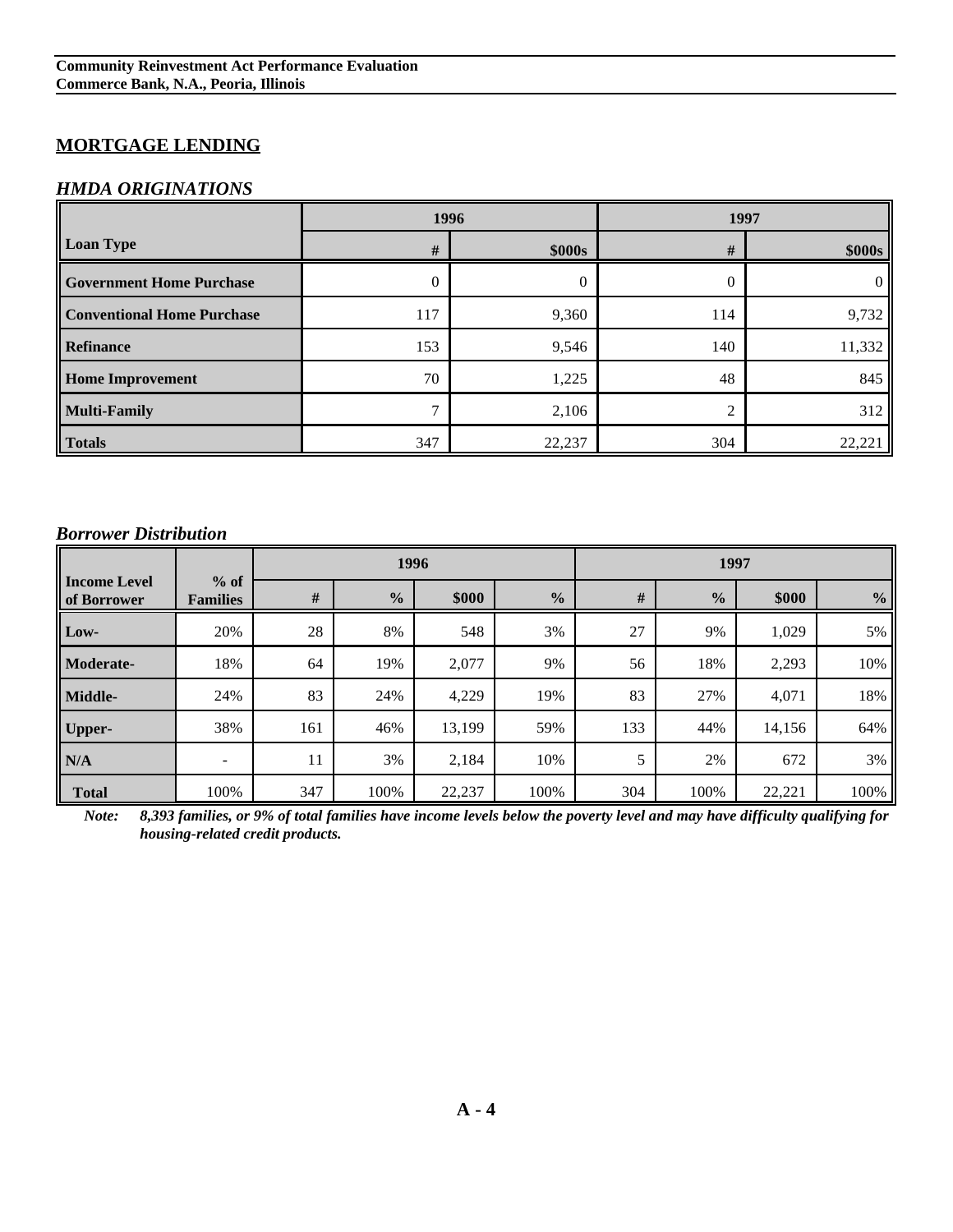# **MORTGAGE LENDING**

#### *HMDA ORIGINATIONS*

|                                   | 1996         |        | 1997 |               |  |
|-----------------------------------|--------------|--------|------|---------------|--|
| <b>Loan Type</b>                  | #            | \$000s | #    | <b>\$000s</b> |  |
| <b>Government Home Purchase</b>   | 0            | 0      | 0    | $\Omega$      |  |
| <b>Conventional Home Purchase</b> | 117          | 9,360  | 114  | 9,732         |  |
| <b>Refinance</b>                  | 153          | 9,546  | 140  | 11,332        |  |
| <b>Home Improvement</b>           | 70           | 1,225  | 48   | 845           |  |
| <b>Multi-Family</b>               | $\mathbf{r}$ | 2,106  | 2    | 312           |  |
| <b>Totals</b>                     | 347          | 22,237 | 304  | 22,221        |  |

#### *Borrower Distribution*

|                                    |                           |     | 1996          |        |               | 1997 |               |        |               |
|------------------------------------|---------------------------|-----|---------------|--------|---------------|------|---------------|--------|---------------|
| <b>Income Level</b><br>of Borrower | $%$ of<br><b>Families</b> | #   | $\frac{0}{0}$ | \$000  | $\frac{0}{0}$ | $\#$ | $\frac{6}{6}$ | \$000  | $\frac{6}{6}$ |
| Low-                               | 20%                       | 28  | 8%            | 548    | 3%            | 27   | 9%            | 1,029  | 5%            |
| Moderate-                          | 18%                       | 64  | 19%           | 2,077  | 9%            | 56   | 18%           | 2,293  | 10%           |
| Middle-                            | 24%                       | 83  | 24%           | 4,229  | 19%           | 83   | 27%           | 4,071  | 18%           |
| <b>Upper-</b>                      | 38%                       | 161 | 46%           | 13,199 | 59%           | 133  | 44%           | 14,156 | 64%           |
| N/A                                |                           | 11  | 3%            | 2,184  | 10%           | 5    | 2%            | 672    | 3%            |
| <b>Total</b>                       | 100%                      | 347 | 100%          | 22,237 | 100%          | 304  | 100%          | 22,221 | 100%          |

*Note: 8,393 families, or 9% of total families have income levels below the poverty level and may have difficulty qualifying for housing-related credit products.*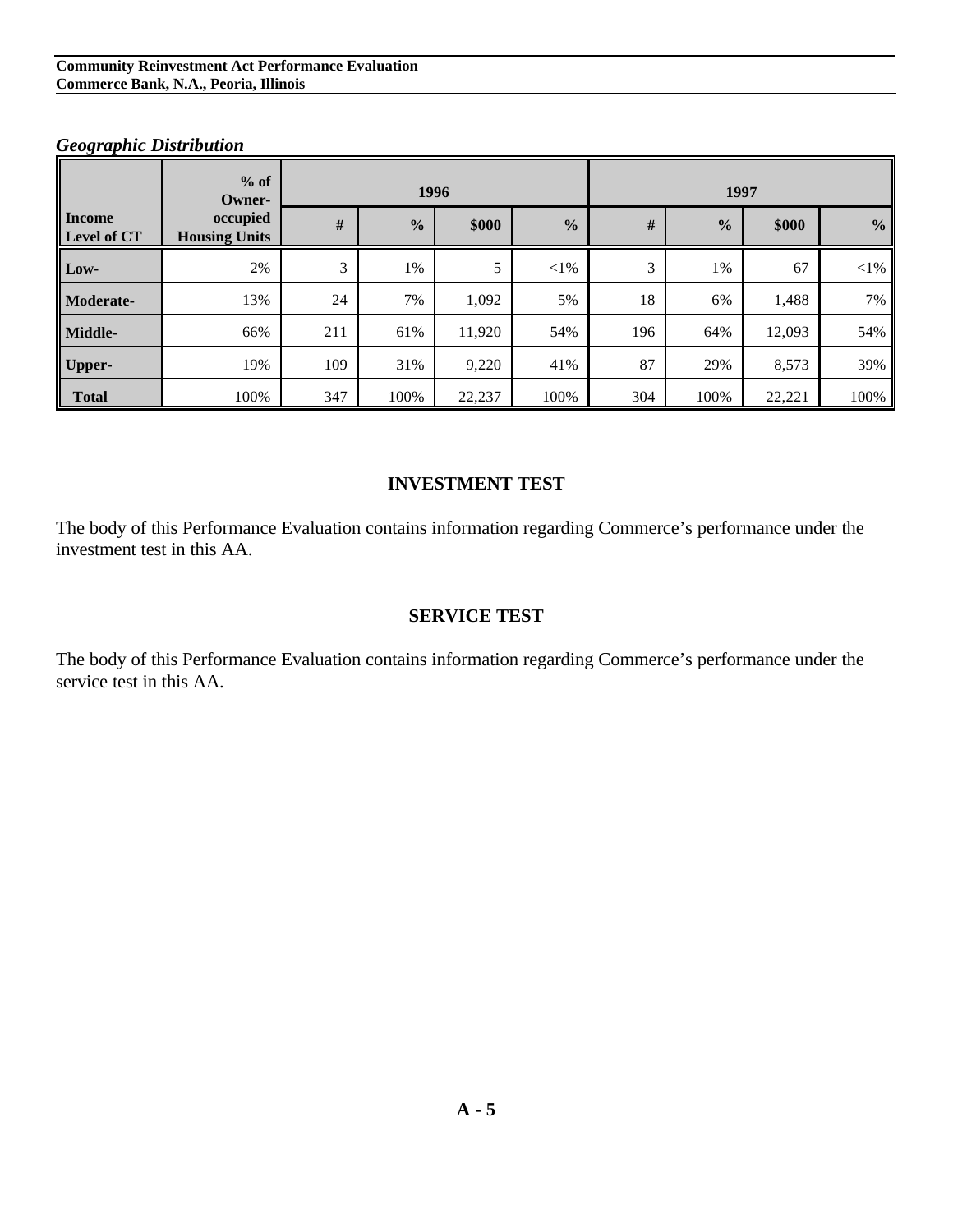#### **Community Reinvestment Act Performance Evaluation Commerce Bank, N.A., Peoria, Illinois**

# **Income occupied Level of CT Housing Units % of Owner- 1996 1997 1997 # % \$000 % # % \$000 % Low-** 2% 3 1% 5 <1% 3 1% 67 <1% **Moderate-** 13% 24 7% 1,092 5% 18 6% 1,488 7% **Middle-** 66% 211 61% 11,920 54% 196 64% 12,093 54% **Upper-** 19% 109 31% 9,220 41% 87 29% 8,573 39% **Total** 100% 347 100% 22,237 100% 304 100% 22,221 100%

#### *Geographic Distribution*

#### **INVESTMENT TEST**

The body of this Performance Evaluation contains information regarding Commerce's performance under the investment test in this AA.

#### **SERVICE TEST**

The body of this Performance Evaluation contains information regarding Commerce's performance under the service test in this AA.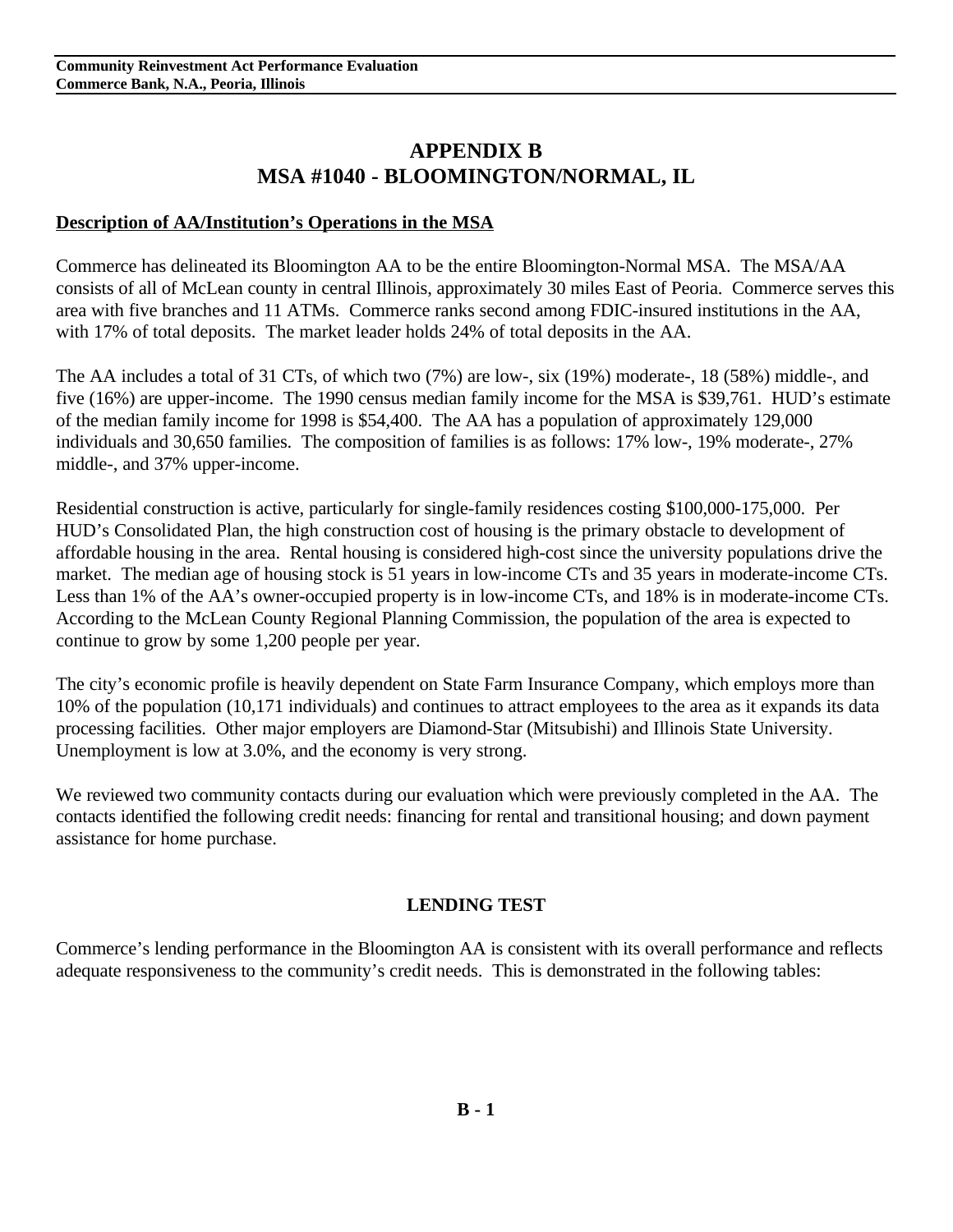# **APPENDIX B MSA #1040 - BLOOMINGTON/NORMAL, IL**

#### **Description of AA/Institution's Operations in the MSA**

Commerce has delineated its Bloomington AA to be the entire Bloomington-Normal MSA. The MSA/AA consists of all of McLean county in central Illinois, approximately 30 miles East of Peoria. Commerce serves this area with five branches and 11 ATMs. Commerce ranks second among FDIC-insured institutions in the AA, with 17% of total deposits. The market leader holds 24% of total deposits in the AA.

The AA includes a total of 31 CTs, of which two (7%) are low-, six (19%) moderate-, 18 (58%) middle-, and five (16%) are upper-income. The 1990 census median family income for the MSA is \$39,761. HUD's estimate of the median family income for 1998 is \$54,400. The AA has a population of approximately 129,000 individuals and 30,650 families. The composition of families is as follows: 17% low-, 19% moderate-, 27% middle-, and 37% upper-income.

Residential construction is active, particularly for single-family residences costing \$100,000-175,000. Per HUD's Consolidated Plan, the high construction cost of housing is the primary obstacle to development of affordable housing in the area. Rental housing is considered high-cost since the university populations drive the market. The median age of housing stock is 51 years in low-income CTs and 35 years in moderate-income CTs. Less than 1% of the AA's owner-occupied property is in low-income CTs, and 18% is in moderate-income CTs. According to the McLean County Regional Planning Commission, the population of the area is expected to continue to grow by some 1,200 people per year.

The city's economic profile is heavily dependent on State Farm Insurance Company, which employs more than 10% of the population (10,171 individuals) and continues to attract employees to the area as it expands its data processing facilities. Other major employers are Diamond-Star (Mitsubishi) and Illinois State University. Unemployment is low at 3.0%, and the economy is very strong.

We reviewed two community contacts during our evaluation which were previously completed in the AA. The contacts identified the following credit needs: financing for rental and transitional housing; and down payment assistance for home purchase.

#### **LENDING TEST**

Commerce's lending performance in the Bloomington AA is consistent with its overall performance and reflects adequate responsiveness to the community's credit needs. This is demonstrated in the following tables: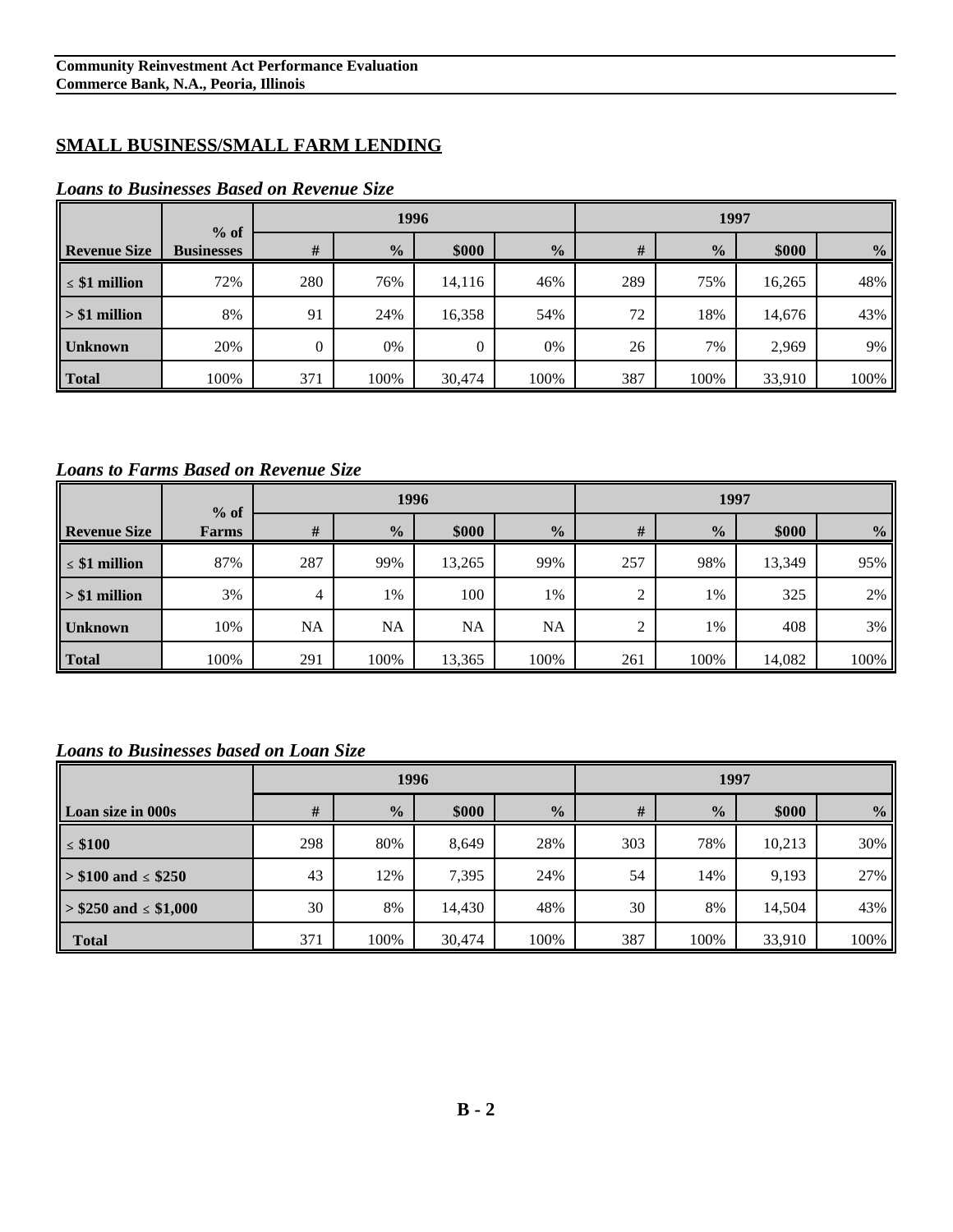## **SMALL BUSINESS/SMALL FARM LENDING**

|                     | $%$ of            |          | 1996          |                |               | 1997 |               |        |                |
|---------------------|-------------------|----------|---------------|----------------|---------------|------|---------------|--------|----------------|
| <b>Revenue Size</b> | <b>Businesses</b> | #        | $\frac{0}{0}$ | \$000          | $\frac{0}{0}$ | #    | $\frac{0}{2}$ | \$000  | $\frac{6}{10}$ |
| $\leq$ \$1 million  | 72%               | 280      | 76%           | 14,116         | 46%           | 289  | 75%           | 16,265 | 48%            |
| $> $1$ million      | 8%                | 91       | 24%           | 16,358         | 54%           | 72   | 18%           | 14,676 | 43%            |
| <b>Unknown</b>      | 20%               | $\Omega$ | 0%            | $\overline{0}$ | 0%            | 26   | 7%            | 2,969  | 9%             |
| <b>Total</b>        | 100%              | 371      | 100%          | 30,474         | 100%          | 387  | 100%          | 33,910 | 100%           |

#### *Loans to Businesses Based on Revenue Size*

#### *Loans to Farms Based on Revenue Size*

|                     | $%$ of       |     |               | 1996   |               | 1997 |               |        |               |
|---------------------|--------------|-----|---------------|--------|---------------|------|---------------|--------|---------------|
| <b>Revenue Size</b> | <b>Farms</b> | #   | $\frac{0}{0}$ | \$000  | $\frac{0}{2}$ | #    | $\frac{0}{0}$ | \$000  | $\frac{0}{0}$ |
| $\leq$ \$1 million  | 87%          | 287 | 99%           | 13,265 | 99%           | 257  | 98%           | 13,349 | 95%           |
| $> $1$ million      | 3%           | 4   | 1%            | 100    | 1%            | 2    | 1%            | 325    | 2%            |
| <b>Unknown</b>      | 10%          | NA  | <b>NA</b>     | NA     | NA            | 2    | 1%            | 408    | 3%            |
| Total               | 100%         | 291 | 100%          | 13,365 | 100%          | 261  | 100%          | 14,082 | 100%          |

#### *Loans to Businesses based on Loan Size*

|                             |     | 1996          |        |               |     | 1997          |        |               |  |
|-----------------------------|-----|---------------|--------|---------------|-----|---------------|--------|---------------|--|
| Loan size in 000s           | #   | $\frac{0}{0}$ | \$000  | $\frac{0}{0}$ | #   | $\frac{0}{2}$ | \$000  | $\frac{0}{0}$ |  |
| $\leq$ \$100                | 298 | 80%           | 8,649  | 28%           | 303 | 78%           | 10,213 | 30%           |  |
| $\ge$ \$100 and $\le$ \$250 | 43  | 12%           | 7,395  | 24%           | 54  | 14%           | 9,193  | 27%           |  |
| $> $250$ and $\le $1,000$   | 30  | 8%            | 14,430 | 48%           | 30  | 8%            | 14,504 | 43%           |  |
| <b>Total</b>                | 371 | 100%          | 30,474 | 100%          | 387 | 100%          | 33,910 | 100%          |  |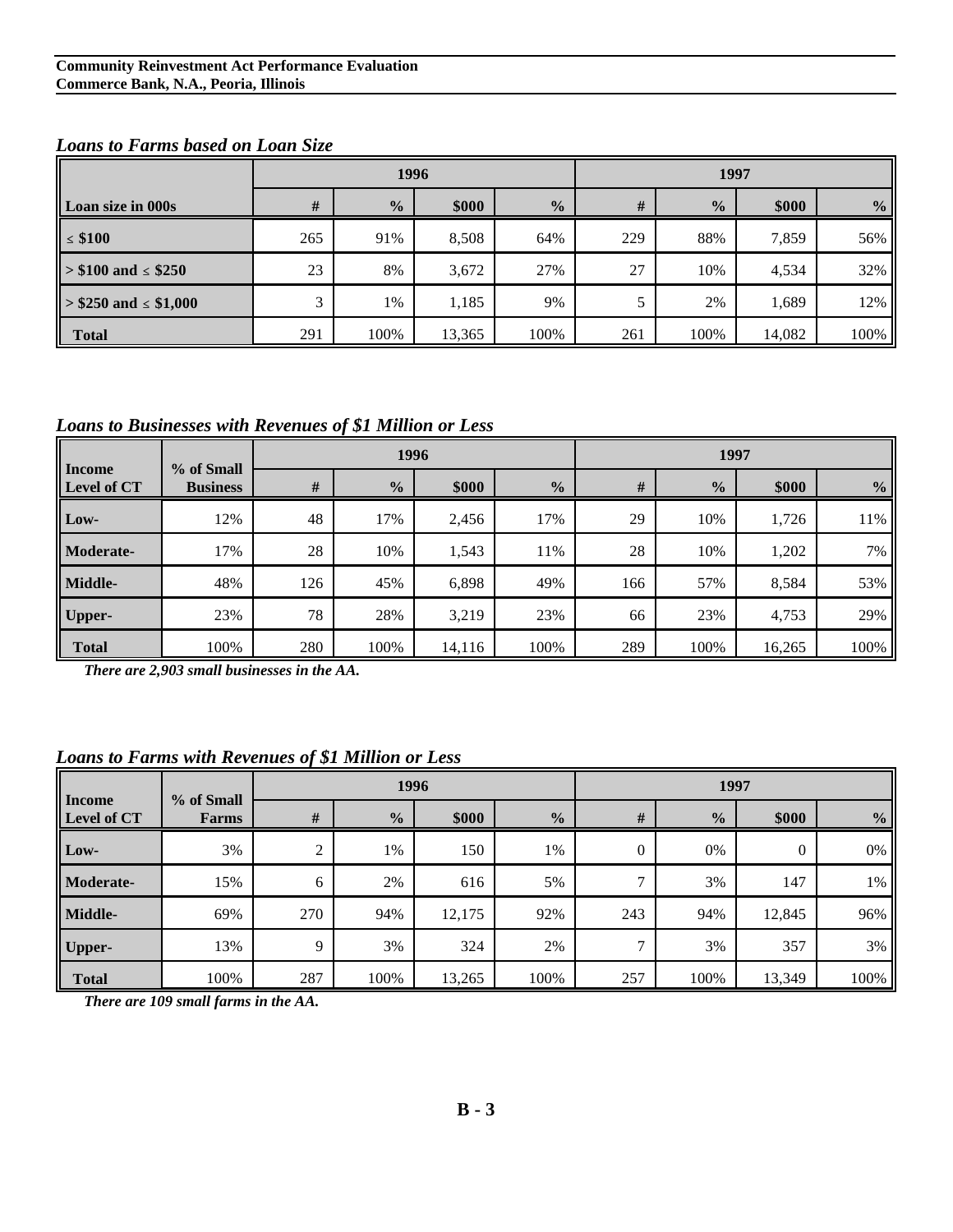#### **Community Reinvestment Act Performance Evaluation Commerce Bank, N.A., Peoria, Illinois**

|                           |               | 1996          |        |               |     | 1997          |        |                |  |  |
|---------------------------|---------------|---------------|--------|---------------|-----|---------------|--------|----------------|--|--|
| Loan size in 000s         | #             | $\frac{0}{0}$ | \$000  | $\frac{0}{0}$ | #   | $\frac{0}{0}$ | \$000  | $\frac{6}{10}$ |  |  |
| $\leq$ \$100              | 265           | 91%           | 8,508  | 64%           | 229 | 88%           | 7,859  | 56%            |  |  |
| $> $100$ and $\leq $250$  | 23            | 8%            | 3,672  | 27%           | 27  | 10%           | 4,534  | 32%            |  |  |
| $> $250$ and $\le $1,000$ | $\mathcal{L}$ | 1%            | 1,185  | 9%            | 5   | 2%            | 1,689  | 12%            |  |  |
| <b>Total</b>              | 291           | 100%          | 13,365 | 100%          | 261 | 100%          | 14,082 | 100%           |  |  |

#### *Loans to Farms based on Loan Size*

*Loans to Businesses with Revenues of \$1 Million or Less*

| <b>Income</b>    |                               | 1996 |               |        |               | 1997 |               |        |               |
|------------------|-------------------------------|------|---------------|--------|---------------|------|---------------|--------|---------------|
| Level of CT      | % of Small<br><b>Business</b> | #    | $\frac{0}{0}$ | \$000  | $\frac{1}{2}$ | $\#$ | $\frac{0}{0}$ | \$000  | $\frac{6}{6}$ |
| Low-             | 12%                           | 48   | 17%           | 2,456  | 17%           | 29   | 10%           | 1,726  | 11%           |
| <b>Moderate-</b> | 17%                           | 28   | 10%           | 1,543  | 11%           | 28   | 10%           | 1,202  | 7%            |
| Middle-          | 48%                           | 126  | 45%           | 6,898  | 49%           | 166  | 57%           | 8,584  | 53%           |
| Upper-           | 23%                           | 78   | 28%           | 3,219  | 23%           | 66   | 23%           | 4,753  | 29%           |
| <b>Total</b>     | 100%                          | 280  | 100%          | 14,116 | 100%          | 289  | 100%          | 16,265 | 100%          |

*There are 2,903 small businesses in the AA.*

#### *Loans to Farms with Revenues of \$1 Million or Less*

|                       | % of Small   | 1996            |               |        |               | 1997           |                |          |               |
|-----------------------|--------------|-----------------|---------------|--------|---------------|----------------|----------------|----------|---------------|
| Income<br>Level of CT | <b>Farms</b> | $\#$            | $\frac{0}{0}$ | \$000  | $\frac{0}{2}$ | $\#$           | $\frac{6}{10}$ | \$000    | $\frac{0}{2}$ |
| Low-                  | 3%           | $\bigcirc$<br>∠ | 1%            | 150    | 1%            | $\overline{0}$ | 0%             | $\Omega$ | 0%            |
| <b>Moderate-</b>      | 15%          | 6               | 2%            | 616    | 5%            | 7              | 3%             | 147      | $1\%$         |
| Middle-               | 69%          | 270             | 94%           | 12,175 | 92%           | 243            | 94%            | 12,845   | 96%           |
| Upper-                | 13%          | $\mathbf Q$     | 3%            | 324    | 2%            | $\mathcal{I}$  | 3%             | 357      | 3%            |
| <b>Total</b>          | 100%         | 287             | 100%          | 13,265 | 100%          | 257            | 100%           | 13,349   | 100%          |

*There are 109 small farms in the AA.*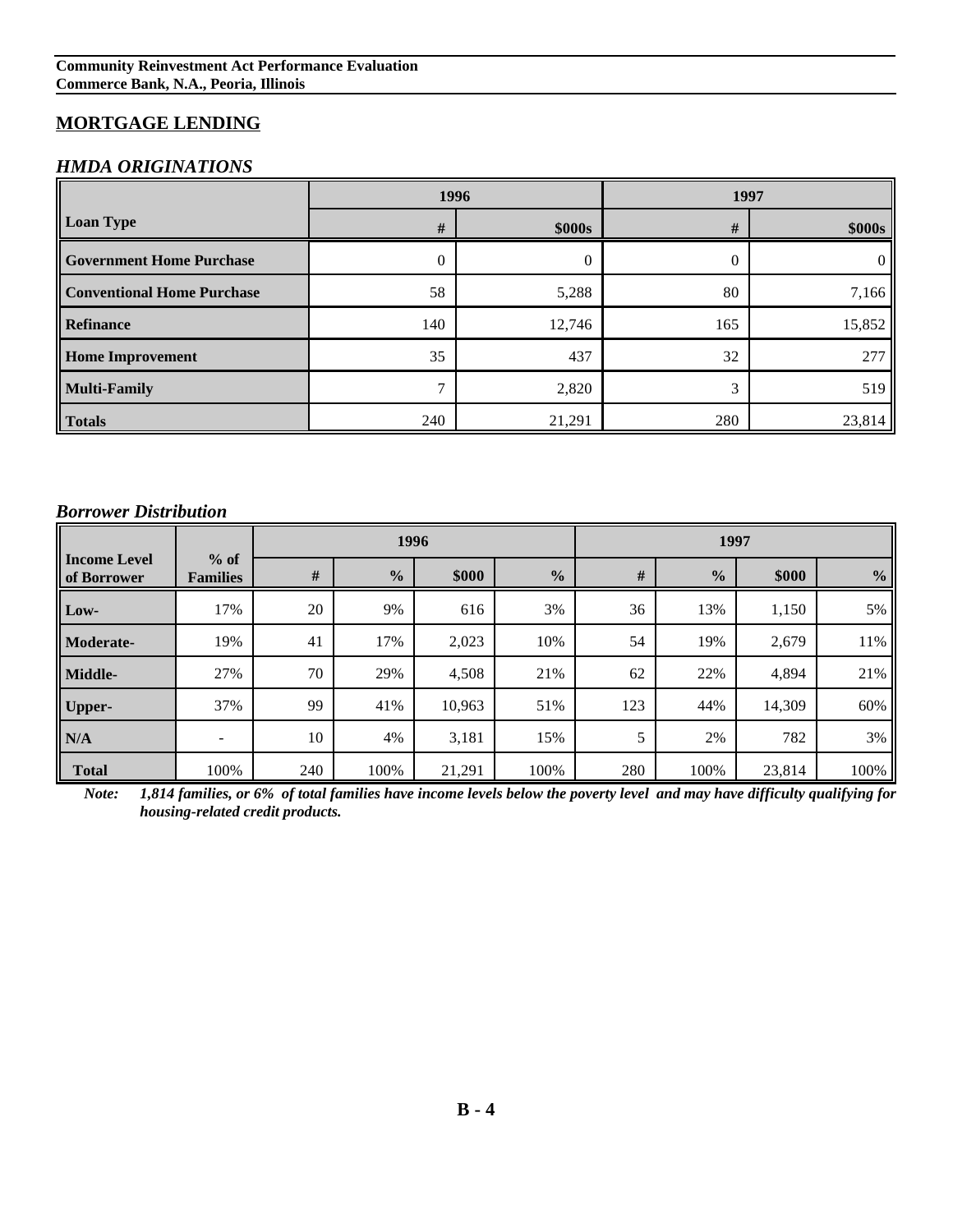## **MORTGAGE LENDING**

#### *HMDA ORIGINATIONS*

|                                   | 1996          |        | 1997 |        |  |  |
|-----------------------------------|---------------|--------|------|--------|--|--|
| <b>Loan Type</b>                  | #             | \$000s | #    | \$000s |  |  |
| <b>Government Home Purchase</b>   | $\theta$      | 0      |      |        |  |  |
| <b>Conventional Home Purchase</b> | 58            | 5,288  | 80   | 7,166  |  |  |
| Refinance                         | 140           | 12,746 | 165  | 15,852 |  |  |
| <b>Home Improvement</b>           | 35            | 437    | 32   | 277    |  |  |
| <b>Multi-Family</b>               | $\mathcal{I}$ | 2,820  | 3    | 519    |  |  |
| <b>Totals</b>                     | 240           | 21,291 | 280  | 23,814 |  |  |

#### *Borrower Distribution*

|                                    |                           | 1996 |               |        |               | 1997 |               |        |                |
|------------------------------------|---------------------------|------|---------------|--------|---------------|------|---------------|--------|----------------|
| <b>Income Level</b><br>of Borrower | $%$ of<br><b>Families</b> | #    | $\frac{0}{0}$ | \$000  | $\frac{1}{2}$ | #    | $\frac{0}{0}$ | \$000  | $\frac{6}{10}$ |
| Low-                               | 17%                       | 20   | 9%            | 616    | 3%            | 36   | 13%           | 1,150  | 5%             |
| Moderate-                          | 19%                       | 41   | 17%           | 2,023  | 10%           | 54   | 19%           | 2,679  | 11%            |
| Middle-                            | 27%                       | 70   | 29%           | 4,508  | 21%           | 62   | 22%           | 4,894  | 21%            |
| <b>Upper-</b>                      | 37%                       | 99   | 41%           | 10,963 | 51%           | 123  | 44%           | 14,309 | 60%            |
| N/A                                | -                         | 10   | 4%            | 3,181  | 15%           | 5    | 2%            | 782    | 3%             |
| <b>Total</b>                       | 100%                      | 240  | 100%          | 21,291 | 100%          | 280  | 100%          | 23,814 | 100%           |

*Note: 1,814 families, or 6% of total families have income levels below the poverty level and may have difficulty qualifying for housing-related credit products.*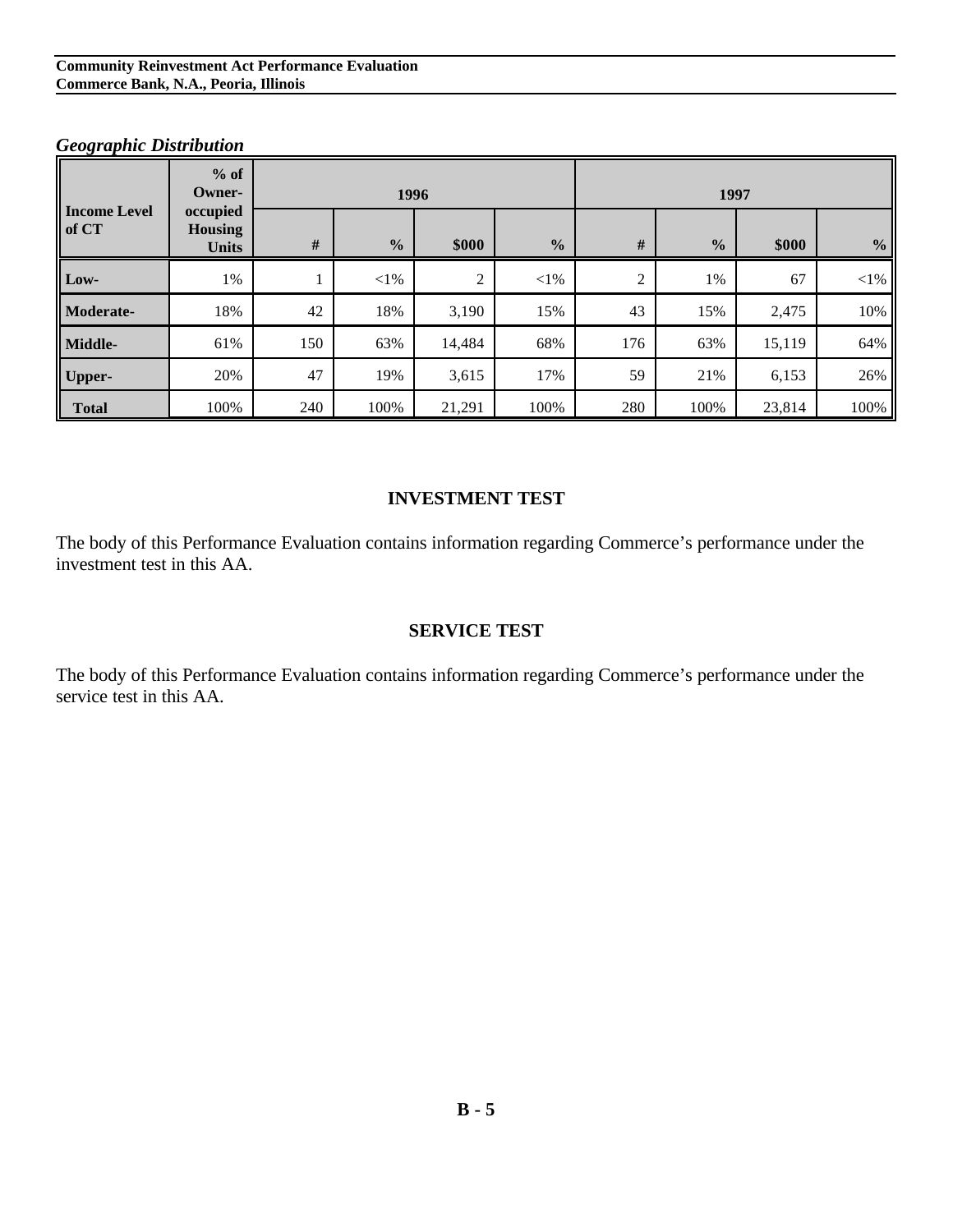|                              | $%$ of<br>Owner-                           | 1996 |               |        |               | 1997           |               |        |               |
|------------------------------|--------------------------------------------|------|---------------|--------|---------------|----------------|---------------|--------|---------------|
| <b>Income Level</b><br>of CT | occupied<br><b>Housing</b><br><b>Units</b> | #    | $\frac{0}{0}$ | \$000  | $\frac{0}{0}$ | $\#$           | $\frac{0}{0}$ | \$000  | $\frac{0}{0}$ |
| Low-                         | $1\%$                                      |      | $<$ 1%        | 2      | $<$ 1%        | $\overline{2}$ | 1%            | 67     | $<$ 1%        |
| Moderate-                    | 18%                                        | 42   | 18%           | 3,190  | 15%           | 43             | 15%           | 2,475  | 10%           |
| Middle-                      | 61%                                        | 150  | 63%           | 14,484 | 68%           | 176            | 63%           | 15,119 | 64%           |
| <b>Upper-</b>                | 20%                                        | 47   | 19%           | 3,615  | 17%           | 59             | 21%           | 6,153  | 26%           |
| <b>Total</b>                 | 100%                                       | 240  | 100%          | 21,291 | 100%          | 280            | 100%          | 23,814 | 100%          |

#### *Geographic Distribution*

#### **INVESTMENT TEST**

The body of this Performance Evaluation contains information regarding Commerce's performance under the investment test in this AA.

#### **SERVICE TEST**

The body of this Performance Evaluation contains information regarding Commerce's performance under the service test in this AA.